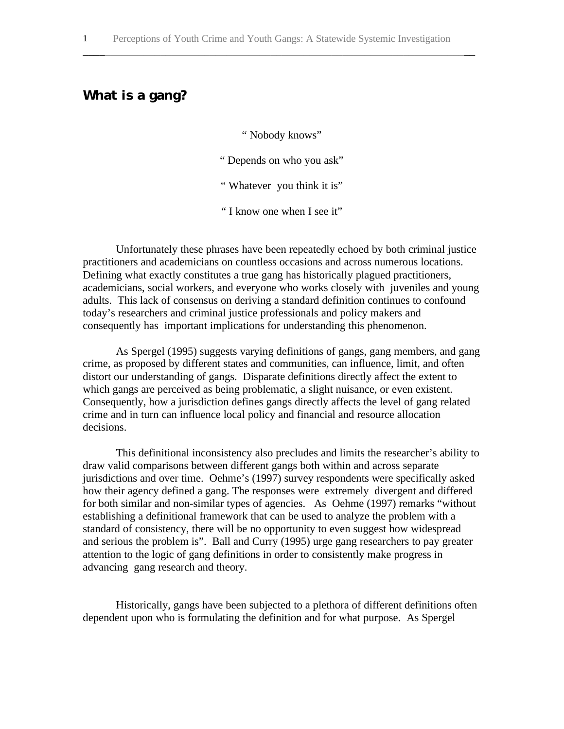# **What is a gang?**

" Nobody knows"

" Depends on who you ask"

" Whatever you think it is"

" I know one when I see it"

Unfortunately these phrases have been repeatedly echoed by both criminal justice practitioners and academicians on countless occasions and across numerous locations. Defining what exactly constitutes a true gang has historically plagued practitioners, academicians, social workers, and everyone who works closely with juveniles and young adults. This lack of consensus on deriving a standard definition continues to confound today's researchers and criminal justice professionals and policy makers and consequently has important implications for understanding this phenomenon.

As Spergel (1995) suggests varying definitions of gangs, gang members, and gang crime, as proposed by different states and communities, can influence, limit, and often distort our understanding of gangs. Disparate definitions directly affect the extent to which gangs are perceived as being problematic, a slight nuisance, or even existent. Consequently, how a jurisdiction defines gangs directly affects the level of gang related crime and in turn can influence local policy and financial and resource allocation decisions.

This definitional inconsistency also precludes and limits the researcher's ability to draw valid comparisons between different gangs both within and across separate jurisdictions and over time. Oehme's (1997) survey respondents were specifically asked how their agency defined a gang. The responses were extremely divergent and differed for both similar and non-similar types of agencies. As Oehme (1997) remarks "without establishing a definitional framework that can be used to analyze the problem with a standard of consistency, there will be no opportunity to even suggest how widespread and serious the problem is". Ball and Curry (1995) urge gang researchers to pay greater attention to the logic of gang definitions in order to consistently make progress in advancing gang research and theory.

Historically, gangs have been subjected to a plethora of different definitions often dependent upon who is formulating the definition and for what purpose. As Spergel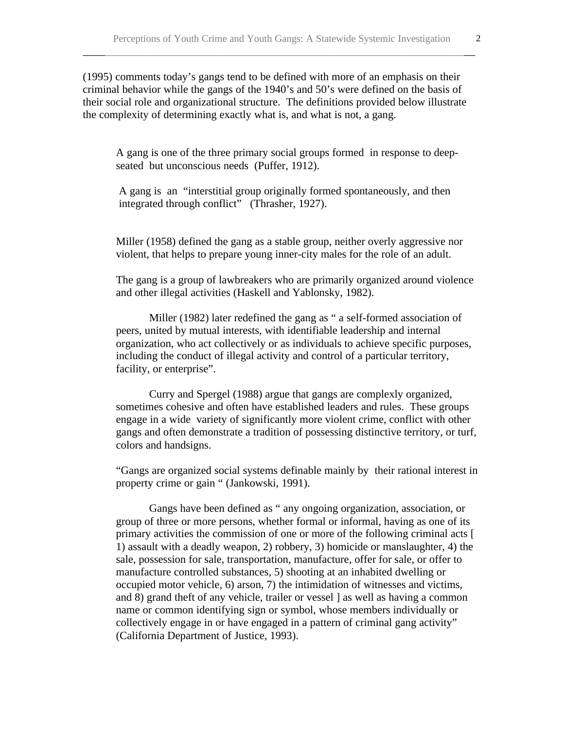(1995) comments today's gangs tend to be defined with more of an emphasis on their criminal behavior while the gangs of the 1940's and 50's were defined on the basis of their social role and organizational structure. The definitions provided below illustrate the complexity of determining exactly what is, and what is not, a gang.

A gang is one of the three primary social groups formed in response to deepseated but unconscious needs (Puffer, 1912).

A gang is an "interstitial group originally formed spontaneously, and then integrated through conflict" (Thrasher, 1927).

Miller (1958) defined the gang as a stable group, neither overly aggressive nor violent, that helps to prepare young inner-city males for the role of an adult.

The gang is a group of lawbreakers who are primarily organized around violence and other illegal activities (Haskell and Yablonsky, 1982).

Miller (1982) later redefined the gang as " a self-formed association of peers, united by mutual interests, with identifiable leadership and internal organization, who act collectively or as individuals to achieve specific purposes, including the conduct of illegal activity and control of a particular territory, facility, or enterprise".

Curry and Spergel (1988) argue that gangs are complexly organized, sometimes cohesive and often have established leaders and rules. These groups engage in a wide variety of significantly more violent crime, conflict with other gangs and often demonstrate a tradition of possessing distinctive territory, or turf, colors and handsigns.

"Gangs are organized social systems definable mainly by their rational interest in property crime or gain " (Jankowski, 1991).

Gangs have been defined as " any ongoing organization, association, or group of three or more persons, whether formal or informal, having as one of its primary activities the commission of one or more of the following criminal acts [ 1) assault with a deadly weapon, 2) robbery, 3) homicide or manslaughter, 4) the sale, possession for sale, transportation, manufacture, offer for sale, or offer to manufacture controlled substances, 5) shooting at an inhabited dwelling or occupied motor vehicle, 6) arson, 7) the intimidation of witnesses and victims, and 8) grand theft of any vehicle, trailer or vessel as well as having a common name or common identifying sign or symbol, whose members individually or collectively engage in or have engaged in a pattern of criminal gang activity" (California Department of Justice, 1993).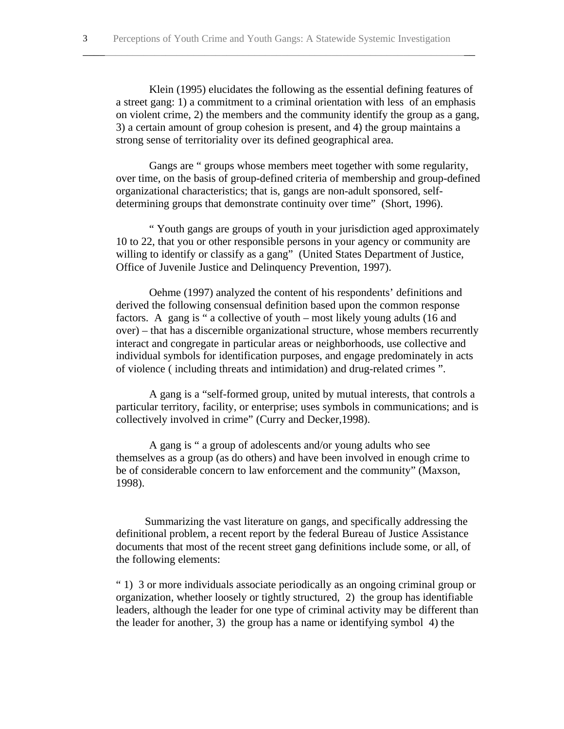Klein (1995) elucidates the following as the essential defining features of a street gang: 1) a commitment to a criminal orientation with less of an emphasis on violent crime, 2) the members and the community identify the group as a gang, 3) a certain amount of group cohesion is present, and 4) the group maintains a strong sense of territoriality over its defined geographical area.

Gangs are " groups whose members meet together with some regularity, over time, on the basis of group-defined criteria of membership and group-defined organizational characteristics; that is, gangs are non-adult sponsored, selfdetermining groups that demonstrate continuity over time" (Short, 1996).

" Youth gangs are groups of youth in your jurisdiction aged approximately 10 to 22, that you or other responsible persons in your agency or community are willing to identify or classify as a gang" (United States Department of Justice, Office of Juvenile Justice and Delinquency Prevention, 1997).

Oehme (1997) analyzed the content of his respondents' definitions and derived the following consensual definition based upon the common response factors. A gang is " a collective of youth – most likely young adults (16 and over) – that has a discernible organizational structure, whose members recurrently interact and congregate in particular areas or neighborhoods, use collective and individual symbols for identification purposes, and engage predominately in acts of violence ( including threats and intimidation) and drug-related crimes ".

A gang is a "self-formed group, united by mutual interests, that controls a particular territory, facility, or enterprise; uses symbols in communications; and is collectively involved in crime" (Curry and Decker,1998).

A gang is " a group of adolescents and/or young adults who see themselves as a group (as do others) and have been involved in enough crime to be of considerable concern to law enforcement and the community" (Maxson, 1998).

Summarizing the vast literature on gangs, and specifically addressing the definitional problem, a recent report by the federal Bureau of Justice Assistance documents that most of the recent street gang definitions include some, or all, of the following elements:

" 1) 3 or more individuals associate periodically as an ongoing criminal group or organization, whether loosely or tightly structured, 2) the group has identifiable leaders, although the leader for one type of criminal activity may be different than the leader for another, 3) the group has a name or identifying symbol 4) the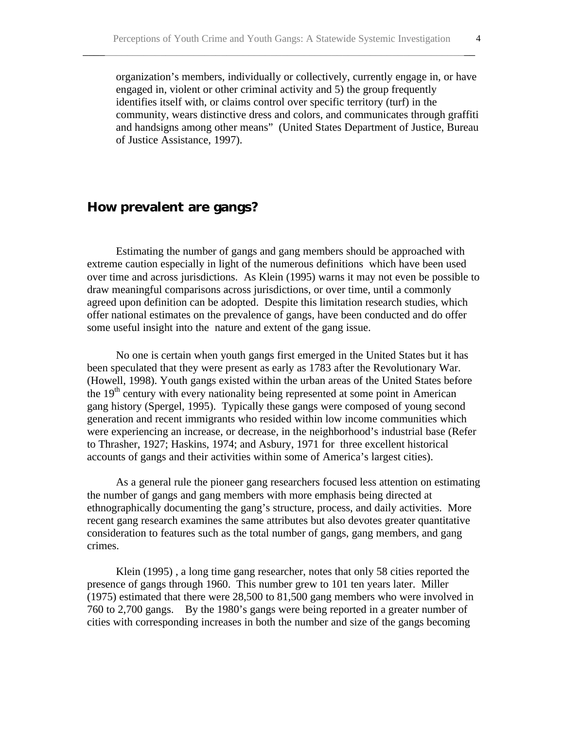4

organization's members, individually or collectively, currently engage in, or have engaged in, violent or other criminal activity and 5) the group frequently identifies itself with, or claims control over specific territory (turf) in the community, wears distinctive dress and colors, and communicates through graffiti and handsigns among other means" (United States Department of Justice, Bureau of Justice Assistance, 1997).

# **How prevalent are gangs?**

Estimating the number of gangs and gang members should be approached with extreme caution especially in light of the numerous definitions which have been used over time and across jurisdictions. As Klein (1995) warns it may not even be possible to draw meaningful comparisons across jurisdictions, or over time, until a commonly agreed upon definition can be adopted. Despite this limitation research studies, which offer national estimates on the prevalence of gangs, have been conducted and do offer some useful insight into the nature and extent of the gang issue.

No one is certain when youth gangs first emerged in the United States but it has been speculated that they were present as early as 1783 after the Revolutionary War. (Howell, 1998). Youth gangs existed within the urban areas of the United States before the 19<sup>th</sup> century with every nationality being represented at some point in American gang history (Spergel, 1995). Typically these gangs were composed of young second generation and recent immigrants who resided within low income communities which were experiencing an increase, or decrease, in the neighborhood's industrial base (Refer to Thrasher, 1927; Haskins, 1974; and Asbury, 1971 for three excellent historical accounts of gangs and their activities within some of America's largest cities).

As a general rule the pioneer gang researchers focused less attention on estimating the number of gangs and gang members with more emphasis being directed at ethnographically documenting the gang's structure, process, and daily activities. More recent gang research examines the same attributes but also devotes greater quantitative consideration to features such as the total number of gangs, gang members, and gang crimes.

Klein (1995) , a long time gang researcher, notes that only 58 cities reported the presence of gangs through 1960. This number grew to 101 ten years later. Miller (1975) estimated that there were 28,500 to 81,500 gang members who were involved in 760 to 2,700 gangs. By the 1980's gangs were being reported in a greater number of cities with corresponding increases in both the number and size of the gangs becoming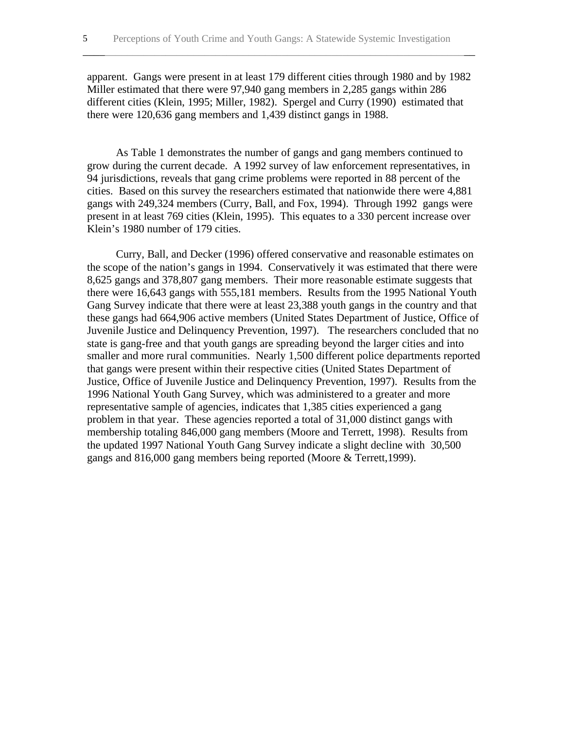apparent. Gangs were present in at least 179 different cities through 1980 and by 1982 Miller estimated that there were 97,940 gang members in 2,285 gangs within 286 different cities (Klein, 1995; Miller, 1982). Spergel and Curry (1990) estimated that there were 120,636 gang members and 1,439 distinct gangs in 1988.

\_\_\_\_\_\_\_\_\_\_\_\_\_\_\_\_\_\_\_\_\_\_\_\_\_\_\_\_\_\_\_\_\_\_\_\_\_\_\_\_\_\_\_\_\_\_\_\_\_\_\_\_\_\_\_\_\_\_\_\_\_\_\_\_\_\_\_\_\_\_\_

As Table 1 demonstrates the number of gangs and gang members continued to grow during the current decade. A 1992 survey of law enforcement representatives, in 94 jurisdictions, reveals that gang crime problems were reported in 88 percent of the cities. Based on this survey the researchers estimated that nationwide there were 4,881 gangs with 249,324 members (Curry, Ball, and Fox, 1994). Through 1992 gangs were present in at least 769 cities (Klein, 1995). This equates to a 330 percent increase over Klein's 1980 number of 179 cities.

Curry, Ball, and Decker (1996) offered conservative and reasonable estimates on the scope of the nation's gangs in 1994. Conservatively it was estimated that there were 8,625 gangs and 378,807 gang members. Their more reasonable estimate suggests that there were 16,643 gangs with 555,181 members. Results from the 1995 National Youth Gang Survey indicate that there were at least 23,388 youth gangs in the country and that these gangs had 664,906 active members (United States Department of Justice, Office of Juvenile Justice and Delinquency Prevention, 1997). The researchers concluded that no state is gang-free and that youth gangs are spreading beyond the larger cities and into smaller and more rural communities. Nearly 1,500 different police departments reported that gangs were present within their respective cities (United States Department of Justice, Office of Juvenile Justice and Delinquency Prevention, 1997). Results from the 1996 National Youth Gang Survey, which was administered to a greater and more representative sample of agencies, indicates that 1,385 cities experienced a gang problem in that year. These agencies reported a total of 31,000 distinct gangs with membership totaling 846,000 gang members (Moore and Terrett, 1998). Results from the updated 1997 National Youth Gang Survey indicate a slight decline with 30,500 gangs and 816,000 gang members being reported (Moore & Terrett,1999).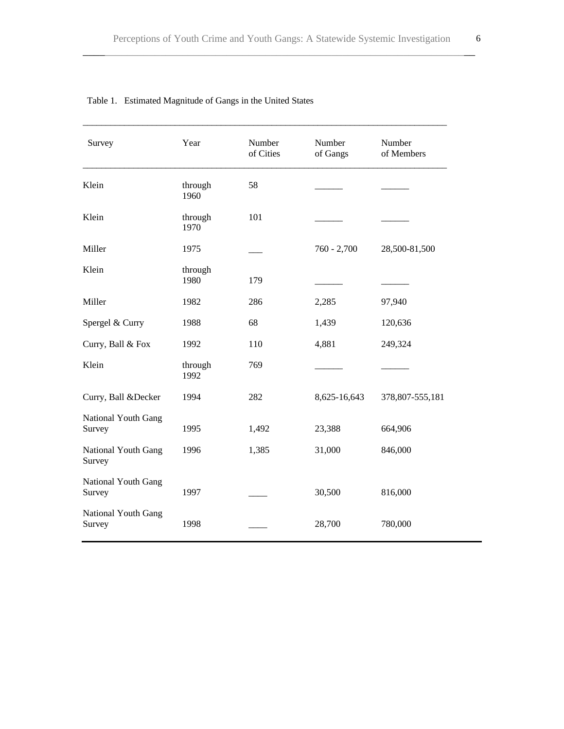| Survey                        | Year            | Number<br>of Cities | Number<br>of Gangs | Number<br>of Members |
|-------------------------------|-----------------|---------------------|--------------------|----------------------|
| Klein                         | through<br>1960 | 58                  |                    |                      |
| Klein                         | through<br>1970 | 101                 |                    |                      |
| Miller                        | 1975            |                     | $760 - 2,700$      | 28,500-81,500        |
| Klein                         | through<br>1980 | 179                 |                    |                      |
| Miller                        | 1982            | 286                 | 2,285              | 97,940               |
| Spergel & Curry               | 1988            | 68                  | 1,439              | 120,636              |
| Curry, Ball & Fox             | 1992            | 110                 | 4,881              | 249,324              |
| Klein                         | through<br>1992 | 769                 |                    |                      |
| Curry, Ball &Decker           | 1994            | 282                 | 8,625-16,643       | 378,807-555,181      |
| National Youth Gang<br>Survey | 1995            | 1,492               | 23,388             | 664,906              |
| National Youth Gang<br>Survey | 1996            | 1,385               | 31,000             | 846,000              |
| National Youth Gang<br>Survey | 1997            |                     | 30,500             | 816,000              |
| National Youth Gang<br>Survey | 1998            |                     | 28,700             | 780,000              |
|                               |                 |                     |                    |                      |

### Table 1. Estimated Magnitude of Gangs in the United States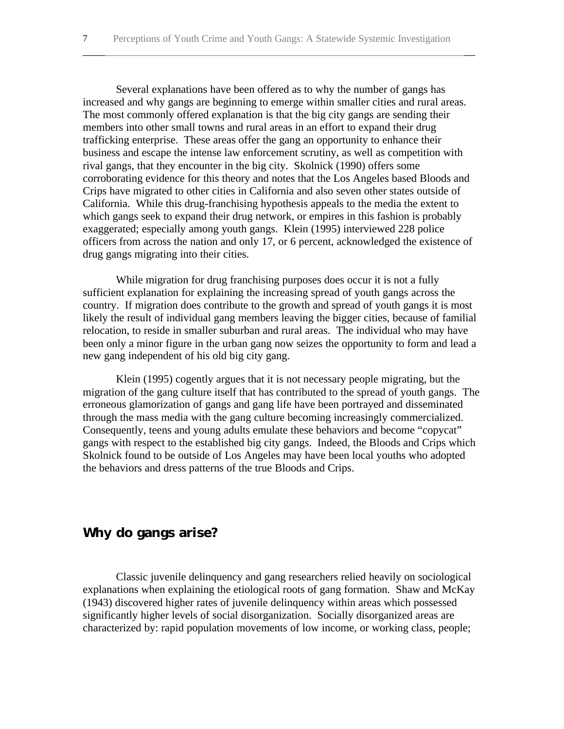Several explanations have been offered as to why the number of gangs has increased and why gangs are beginning to emerge within smaller cities and rural areas. The most commonly offered explanation is that the big city gangs are sending their members into other small towns and rural areas in an effort to expand their drug trafficking enterprise. These areas offer the gang an opportunity to enhance their business and escape the intense law enforcement scrutiny, as well as competition with rival gangs, that they encounter in the big city. Skolnick (1990) offers some corroborating evidence for this theory and notes that the Los Angeles based Bloods and Crips have migrated to other cities in California and also seven other states outside of California. While this drug-franchising hypothesis appeals to the media the extent to which gangs seek to expand their drug network, or empires in this fashion is probably exaggerated; especially among youth gangs. Klein (1995) interviewed 228 police officers from across the nation and only 17, or 6 percent, acknowledged the existence of drug gangs migrating into their cities.

While migration for drug franchising purposes does occur it is not a fully sufficient explanation for explaining the increasing spread of youth gangs across the country. If migration does contribute to the growth and spread of youth gangs it is most likely the result of individual gang members leaving the bigger cities, because of familial relocation, to reside in smaller suburban and rural areas. The individual who may have been only a minor figure in the urban gang now seizes the opportunity to form and lead a new gang independent of his old big city gang.

Klein (1995) cogently argues that it is not necessary people migrating, but the migration of the gang culture itself that has contributed to the spread of youth gangs. The erroneous glamorization of gangs and gang life have been portrayed and disseminated through the mass media with the gang culture becoming increasingly commercialized. Consequently, teens and young adults emulate these behaviors and become "copycat" gangs with respect to the established big city gangs. Indeed, the Bloods and Crips which Skolnick found to be outside of Los Angeles may have been local youths who adopted the behaviors and dress patterns of the true Bloods and Crips.

# **Why do gangs arise?**

Classic juvenile delinquency and gang researchers relied heavily on sociological explanations when explaining the etiological roots of gang formation. Shaw and McKay (1943) discovered higher rates of juvenile delinquency within areas which possessed significantly higher levels of social disorganization. Socially disorganized areas are characterized by: rapid population movements of low income, or working class, people;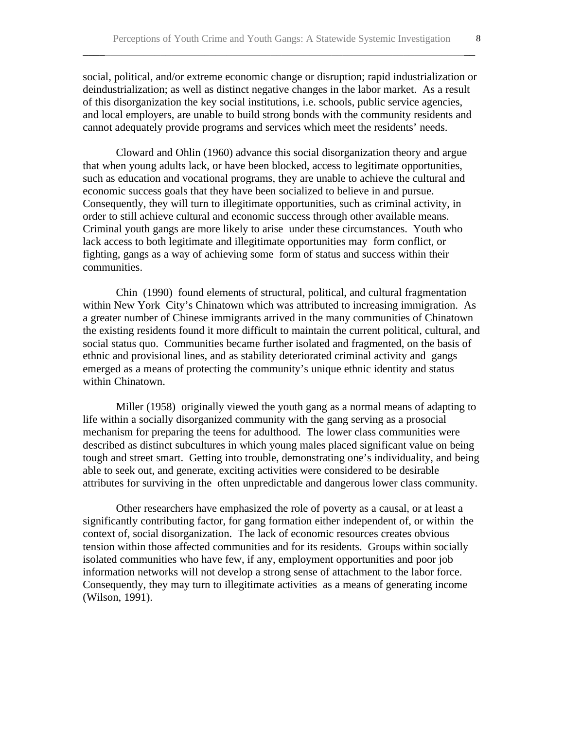8

social, political, and/or extreme economic change or disruption; rapid industrialization or deindustrialization; as well as distinct negative changes in the labor market. As a result of this disorganization the key social institutions, i.e. schools, public service agencies, and local employers, are unable to build strong bonds with the community residents and cannot adequately provide programs and services which meet the residents' needs.

Cloward and Ohlin (1960) advance this social disorganization theory and argue that when young adults lack, or have been blocked, access to legitimate opportunities, such as education and vocational programs, they are unable to achieve the cultural and economic success goals that they have been socialized to believe in and pursue. Consequently, they will turn to illegitimate opportunities, such as criminal activity, in order to still achieve cultural and economic success through other available means. Criminal youth gangs are more likely to arise under these circumstances. Youth who lack access to both legitimate and illegitimate opportunities may form conflict, or fighting, gangs as a way of achieving some form of status and success within their communities.

Chin (1990) found elements of structural, political, and cultural fragmentation within New York City's Chinatown which was attributed to increasing immigration. As a greater number of Chinese immigrants arrived in the many communities of Chinatown the existing residents found it more difficult to maintain the current political, cultural, and social status quo. Communities became further isolated and fragmented, on the basis of ethnic and provisional lines, and as stability deteriorated criminal activity and gangs emerged as a means of protecting the community's unique ethnic identity and status within Chinatown.

Miller (1958) originally viewed the youth gang as a normal means of adapting to life within a socially disorganized community with the gang serving as a prosocial mechanism for preparing the teens for adulthood. The lower class communities were described as distinct subcultures in which young males placed significant value on being tough and street smart. Getting into trouble, demonstrating one's individuality, and being able to seek out, and generate, exciting activities were considered to be desirable attributes for surviving in the often unpredictable and dangerous lower class community.

Other researchers have emphasized the role of poverty as a causal, or at least a significantly contributing factor, for gang formation either independent of, or within the context of, social disorganization. The lack of economic resources creates obvious tension within those affected communities and for its residents. Groups within socially isolated communities who have few, if any, employment opportunities and poor job information networks will not develop a strong sense of attachment to the labor force. Consequently, they may turn to illegitimate activities as a means of generating income (Wilson, 1991).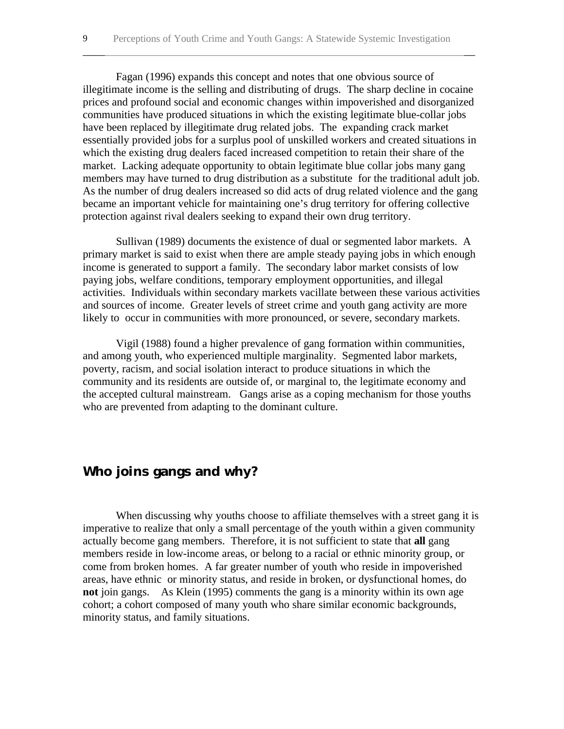Fagan (1996) expands this concept and notes that one obvious source of illegitimate income is the selling and distributing of drugs. The sharp decline in cocaine prices and profound social and economic changes within impoverished and disorganized communities have produced situations in which the existing legitimate blue-collar jobs have been replaced by illegitimate drug related jobs. The expanding crack market essentially provided jobs for a surplus pool of unskilled workers and created situations in which the existing drug dealers faced increased competition to retain their share of the market. Lacking adequate opportunity to obtain legitimate blue collar jobs many gang members may have turned to drug distribution as a substitute for the traditional adult job. As the number of drug dealers increased so did acts of drug related violence and the gang became an important vehicle for maintaining one's drug territory for offering collective protection against rival dealers seeking to expand their own drug territory.

Sullivan (1989) documents the existence of dual or segmented labor markets. A primary market is said to exist when there are ample steady paying jobs in which enough income is generated to support a family. The secondary labor market consists of low paying jobs, welfare conditions, temporary employment opportunities, and illegal activities. Individuals within secondary markets vacillate between these various activities and sources of income. Greater levels of street crime and youth gang activity are more likely to occur in communities with more pronounced, or severe, secondary markets.

Vigil (1988) found a higher prevalence of gang formation within communities, and among youth, who experienced multiple marginality. Segmented labor markets, poverty, racism, and social isolation interact to produce situations in which the community and its residents are outside of, or marginal to, the legitimate economy and the accepted cultural mainstream. Gangs arise as a coping mechanism for those youths who are prevented from adapting to the dominant culture.

# **Who joins gangs and why?**

When discussing why youths choose to affiliate themselves with a street gang it is imperative to realize that only a small percentage of the youth within a given community actually become gang members. Therefore, it is not sufficient to state that **all** gang members reside in low-income areas, or belong to a racial or ethnic minority group, or come from broken homes. A far greater number of youth who reside in impoverished areas, have ethnic or minority status, and reside in broken, or dysfunctional homes, do **not** join gangs. As Klein (1995) comments the gang is a minority within its own age cohort; a cohort composed of many youth who share similar economic backgrounds, minority status, and family situations.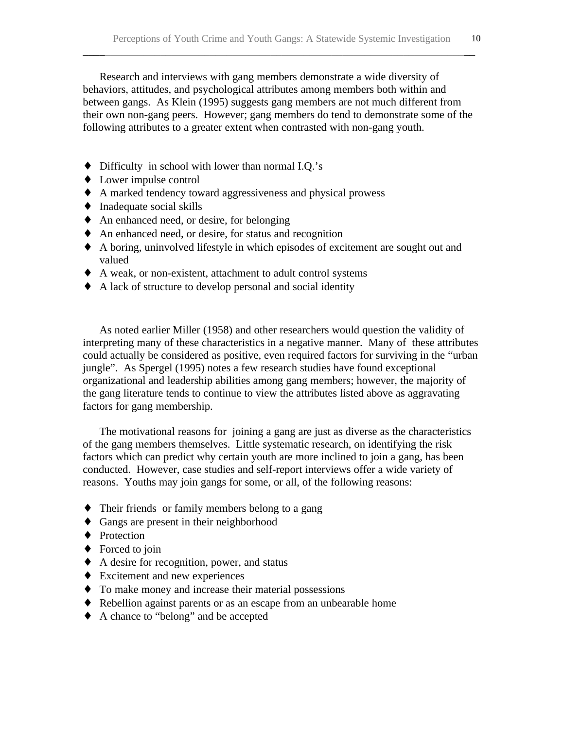Research and interviews with gang members demonstrate a wide diversity of behaviors, attitudes, and psychological attributes among members both within and between gangs. As Klein (1995) suggests gang members are not much different from their own non-gang peers. However; gang members do tend to demonstrate some of the following attributes to a greater extent when contrasted with non-gang youth.

\_\_\_\_\_\_\_\_\_\_\_\_\_\_\_\_\_\_\_\_\_\_\_\_\_\_\_\_\_\_\_\_\_\_\_\_\_\_\_\_\_\_\_\_\_\_\_\_\_\_\_\_\_\_\_\_\_\_\_\_\_\_\_\_\_\_\_\_\_\_\_

- ♦ Difficulty in school with lower than normal I.Q.'s
- ♦ Lower impulse control
- ♦ A marked tendency toward aggressiveness and physical prowess
- ♦ Inadequate social skills
- ♦ An enhanced need, or desire, for belonging
- ♦ An enhanced need, or desire, for status and recognition
- ♦ A boring, uninvolved lifestyle in which episodes of excitement are sought out and valued
- ♦ A weak, or non-existent, attachment to adult control systems
- ♦ A lack of structure to develop personal and social identity

As noted earlier Miller (1958) and other researchers would question the validity of interpreting many of these characteristics in a negative manner. Many of these attributes could actually be considered as positive, even required factors for surviving in the "urban jungle". As Spergel (1995) notes a few research studies have found exceptional organizational and leadership abilities among gang members; however, the majority of the gang literature tends to continue to view the attributes listed above as aggravating factors for gang membership.

The motivational reasons for joining a gang are just as diverse as the characteristics of the gang members themselves. Little systematic research, on identifying the risk factors which can predict why certain youth are more inclined to join a gang, has been conducted. However, case studies and self-report interviews offer a wide variety of reasons. Youths may join gangs for some, or all, of the following reasons:

- ♦ Their friends or family members belong to a gang
- ♦ Gangs are present in their neighborhood
- ◆ Protection
- ◆ Forced to join
- ♦ A desire for recognition, power, and status
- ♦ Excitement and new experiences
- ♦ To make money and increase their material possessions
- ♦ Rebellion against parents or as an escape from an unbearable home
- ♦ A chance to "belong" and be accepted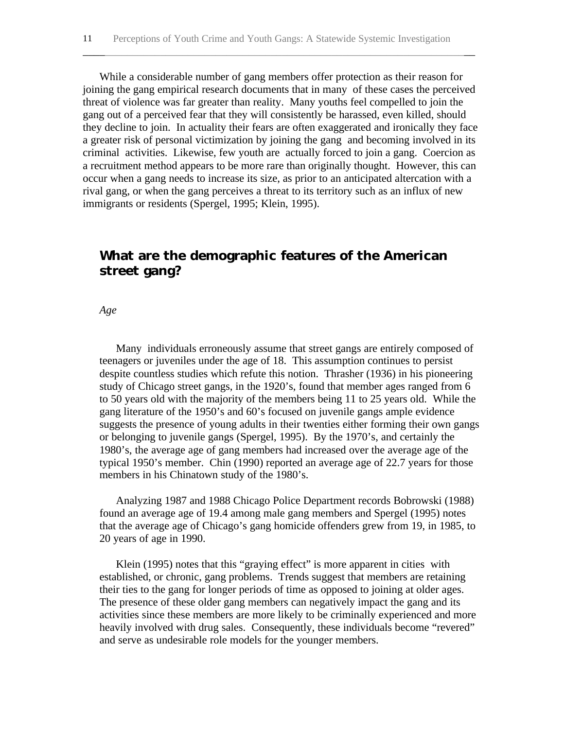While a considerable number of gang members offer protection as their reason for joining the gang empirical research documents that in many of these cases the perceived threat of violence was far greater than reality. Many youths feel compelled to join the gang out of a perceived fear that they will consistently be harassed, even killed, should they decline to join. In actuality their fears are often exaggerated and ironically they face a greater risk of personal victimization by joining the gang and becoming involved in its criminal activities. Likewise, few youth are actually forced to join a gang. Coercion as a recruitment method appears to be more rare than originally thought. However, this can occur when a gang needs to increase its size, as prior to an anticipated altercation with a rival gang, or when the gang perceives a threat to its territory such as an influx of new immigrants or residents (Spergel, 1995; Klein, 1995).

# **What are the demographic features of the American street gang?**

*Age*

Many individuals erroneously assume that street gangs are entirely composed of teenagers or juveniles under the age of 18. This assumption continues to persist despite countless studies which refute this notion. Thrasher (1936) in his pioneering study of Chicago street gangs, in the 1920's, found that member ages ranged from 6 to 50 years old with the majority of the members being 11 to 25 years old. While the gang literature of the 1950's and 60's focused on juvenile gangs ample evidence suggests the presence of young adults in their twenties either forming their own gangs or belonging to juvenile gangs (Spergel, 1995). By the 1970's, and certainly the 1980's, the average age of gang members had increased over the average age of the typical 1950's member. Chin (1990) reported an average age of 22.7 years for those members in his Chinatown study of the 1980's.

Analyzing 1987 and 1988 Chicago Police Department records Bobrowski (1988) found an average age of 19.4 among male gang members and Spergel (1995) notes that the average age of Chicago's gang homicide offenders grew from 19, in 1985, to 20 years of age in 1990.

Klein (1995) notes that this "graying effect" is more apparent in cities with established, or chronic, gang problems. Trends suggest that members are retaining their ties to the gang for longer periods of time as opposed to joining at older ages. The presence of these older gang members can negatively impact the gang and its activities since these members are more likely to be criminally experienced and more heavily involved with drug sales. Consequently, these individuals become "revered" and serve as undesirable role models for the younger members.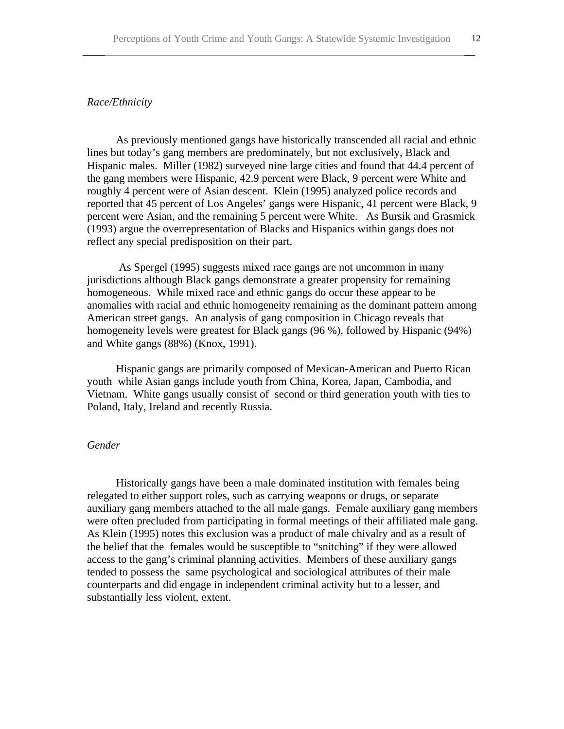#### *Race/Ethnicity*

As previously mentioned gangs have historically transcended all racial and ethnic lines but today's gang members are predominately, but not exclusively, Black and Hispanic males. Miller (1982) surveyed nine large cities and found that 44.4 percent of the gang members were Hispanic, 42.9 percent were Black, 9 percent were White and roughly 4 percent were of Asian descent. Klein (1995) analyzed police records and reported that 45 percent of Los Angeles' gangs were Hispanic, 41 percent were Black, 9 percent were Asian, and the remaining 5 percent were White. As Bursik and Grasmick (1993) argue the overrepresentation of Blacks and Hispanics within gangs does not reflect any special predisposition on their part.

 As Spergel (1995) suggests mixed race gangs are not uncommon in many jurisdictions although Black gangs demonstrate a greater propensity for remaining homogeneous. While mixed race and ethnic gangs do occur these appear to be anomalies with racial and ethnic homogeneity remaining as the dominant pattern among American street gangs. An analysis of gang composition in Chicago reveals that homogeneity levels were greatest for Black gangs (96 %), followed by Hispanic (94%) and White gangs (88%) (Knox, 1991).

Hispanic gangs are primarily composed of Mexican-American and Puerto Rican youth while Asian gangs include youth from China, Korea, Japan, Cambodia, and Vietnam. White gangs usually consist of second or third generation youth with ties to Poland, Italy, Ireland and recently Russia.

### *Gender*

Historically gangs have been a male dominated institution with females being relegated to either support roles, such as carrying weapons or drugs, or separate auxiliary gang members attached to the all male gangs. Female auxiliary gang members were often precluded from participating in formal meetings of their affiliated male gang. As Klein (1995) notes this exclusion was a product of male chivalry and as a result of the belief that the females would be susceptible to "snitching" if they were allowed access to the gang's criminal planning activities. Members of these auxiliary gangs tended to possess the same psychological and sociological attributes of their male counterparts and did engage in independent criminal activity but to a lesser, and substantially less violent, extent.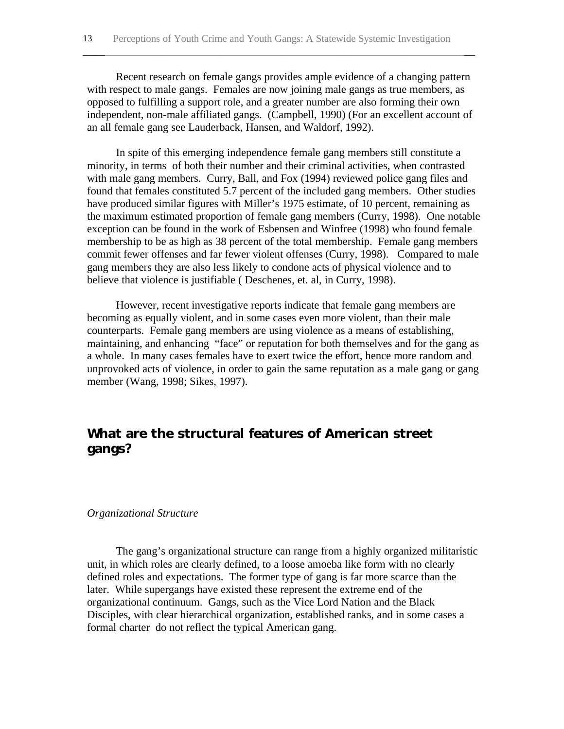Recent research on female gangs provides ample evidence of a changing pattern with respect to male gangs. Females are now joining male gangs as true members, as opposed to fulfilling a support role, and a greater number are also forming their own independent, non-male affiliated gangs. (Campbell, 1990) (For an excellent account of an all female gang see Lauderback, Hansen, and Waldorf, 1992).

\_\_\_\_\_\_\_\_\_\_\_\_\_\_\_\_\_\_\_\_\_\_\_\_\_\_\_\_\_\_\_\_\_\_\_\_\_\_\_\_\_\_\_\_\_\_\_\_\_\_\_\_\_\_\_\_\_\_\_\_\_\_\_\_\_\_\_\_\_\_\_

In spite of this emerging independence female gang members still constitute a minority, in terms of both their number and their criminal activities, when contrasted with male gang members. Curry, Ball, and Fox (1994) reviewed police gang files and found that females constituted 5.7 percent of the included gang members. Other studies have produced similar figures with Miller's 1975 estimate, of 10 percent, remaining as the maximum estimated proportion of female gang members (Curry, 1998). One notable exception can be found in the work of Esbensen and Winfree (1998) who found female membership to be as high as 38 percent of the total membership. Female gang members commit fewer offenses and far fewer violent offenses (Curry, 1998). Compared to male gang members they are also less likely to condone acts of physical violence and to believe that violence is justifiable ( Deschenes, et. al, in Curry, 1998).

However, recent investigative reports indicate that female gang members are becoming as equally violent, and in some cases even more violent, than their male counterparts. Female gang members are using violence as a means of establishing, maintaining, and enhancing "face" or reputation for both themselves and for the gang as a whole. In many cases females have to exert twice the effort, hence more random and unprovoked acts of violence, in order to gain the same reputation as a male gang or gang member (Wang, 1998; Sikes, 1997).

## **What are the structural features of American street gangs?**

#### *Organizational Structure*

The gang's organizational structure can range from a highly organized militaristic unit, in which roles are clearly defined, to a loose amoeba like form with no clearly defined roles and expectations. The former type of gang is far more scarce than the later. While supergangs have existed these represent the extreme end of the organizational continuum. Gangs, such as the Vice Lord Nation and the Black Disciples, with clear hierarchical organization, established ranks, and in some cases a formal charter do not reflect the typical American gang.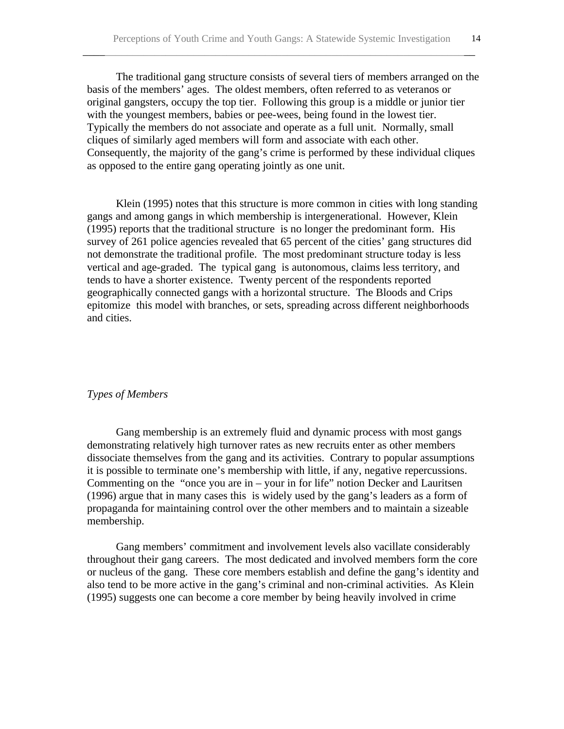The traditional gang structure consists of several tiers of members arranged on the basis of the members' ages. The oldest members, often referred to as veteranos or original gangsters, occupy the top tier. Following this group is a middle or junior tier with the youngest members, babies or pee-wees, being found in the lowest tier. Typically the members do not associate and operate as a full unit. Normally, small cliques of similarly aged members will form and associate with each other. Consequently, the majority of the gang's crime is performed by these individual cliques as opposed to the entire gang operating jointly as one unit.

\_\_\_\_\_\_\_\_\_\_\_\_\_\_\_\_\_\_\_\_\_\_\_\_\_\_\_\_\_\_\_\_\_\_\_\_\_\_\_\_\_\_\_\_\_\_\_\_\_\_\_\_\_\_\_\_\_\_\_\_\_\_\_\_\_\_\_\_\_\_\_

Klein (1995) notes that this structure is more common in cities with long standing gangs and among gangs in which membership is intergenerational. However, Klein (1995) reports that the traditional structure is no longer the predominant form. His survey of 261 police agencies revealed that 65 percent of the cities' gang structures did not demonstrate the traditional profile. The most predominant structure today is less vertical and age-graded. The typical gang is autonomous, claims less territory, and tends to have a shorter existence. Twenty percent of the respondents reported geographically connected gangs with a horizontal structure. The Bloods and Crips epitomize this model with branches, or sets, spreading across different neighborhoods and cities.

#### *Types of Members*

Gang membership is an extremely fluid and dynamic process with most gangs demonstrating relatively high turnover rates as new recruits enter as other members dissociate themselves from the gang and its activities. Contrary to popular assumptions it is possible to terminate one's membership with little, if any, negative repercussions. Commenting on the "once you are in – your in for life" notion Decker and Lauritsen (1996) argue that in many cases this is widely used by the gang's leaders as a form of propaganda for maintaining control over the other members and to maintain a sizeable membership.

Gang members' commitment and involvement levels also vacillate considerably throughout their gang careers. The most dedicated and involved members form the core or nucleus of the gang. These core members establish and define the gang's identity and also tend to be more active in the gang's criminal and non-criminal activities. As Klein (1995) suggests one can become a core member by being heavily involved in crime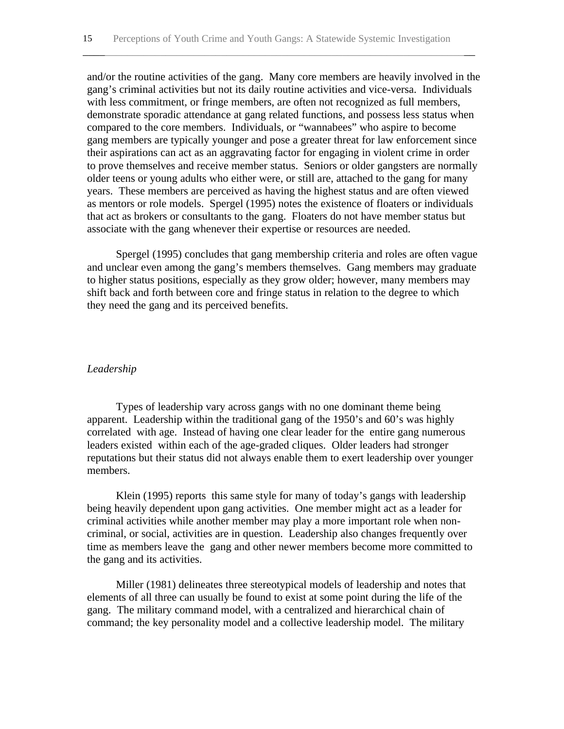and/or the routine activities of the gang. Many core members are heavily involved in the gang's criminal activities but not its daily routine activities and vice-versa. Individuals with less commitment, or fringe members, are often not recognized as full members, demonstrate sporadic attendance at gang related functions, and possess less status when compared to the core members. Individuals, or "wannabees" who aspire to become gang members are typically younger and pose a greater threat for law enforcement since their aspirations can act as an aggravating factor for engaging in violent crime in order to prove themselves and receive member status. Seniors or older gangsters are normally older teens or young adults who either were, or still are, attached to the gang for many years. These members are perceived as having the highest status and are often viewed as mentors or role models. Spergel (1995) notes the existence of floaters or individuals that act as brokers or consultants to the gang. Floaters do not have member status but associate with the gang whenever their expertise or resources are needed.

Spergel (1995) concludes that gang membership criteria and roles are often vague and unclear even among the gang's members themselves. Gang members may graduate to higher status positions, especially as they grow older; however, many members may shift back and forth between core and fringe status in relation to the degree to which they need the gang and its perceived benefits.

### *Leadership*

Types of leadership vary across gangs with no one dominant theme being apparent. Leadership within the traditional gang of the 1950's and 60's was highly correlated with age. Instead of having one clear leader for the entire gang numerous leaders existed within each of the age-graded cliques. Older leaders had stronger reputations but their status did not always enable them to exert leadership over younger members.

Klein (1995) reports this same style for many of today's gangs with leadership being heavily dependent upon gang activities. One member might act as a leader for criminal activities while another member may play a more important role when noncriminal, or social, activities are in question. Leadership also changes frequently over time as members leave the gang and other newer members become more committed to the gang and its activities.

Miller (1981) delineates three stereotypical models of leadership and notes that elements of all three can usually be found to exist at some point during the life of the gang. The military command model, with a centralized and hierarchical chain of command; the key personality model and a collective leadership model. The military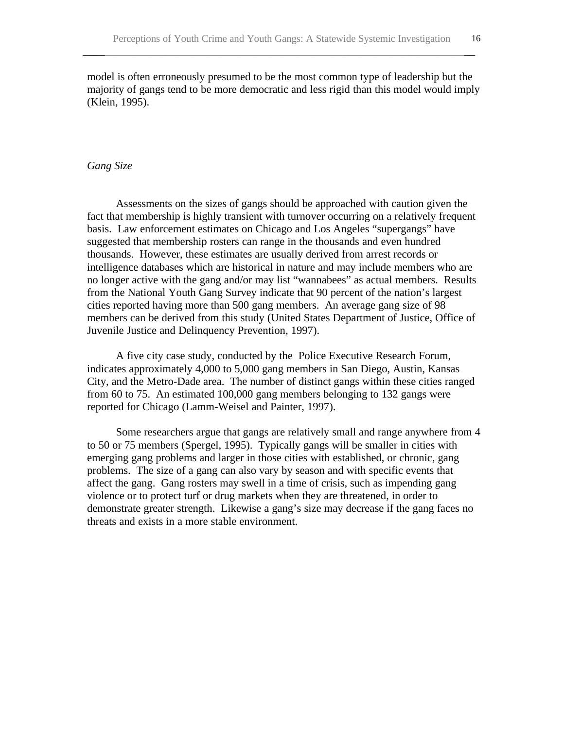model is often erroneously presumed to be the most common type of leadership but the majority of gangs tend to be more democratic and less rigid than this model would imply (Klein, 1995).

\_\_\_\_\_\_\_\_\_\_\_\_\_\_\_\_\_\_\_\_\_\_\_\_\_\_\_\_\_\_\_\_\_\_\_\_\_\_\_\_\_\_\_\_\_\_\_\_\_\_\_\_\_\_\_\_\_\_\_\_\_\_\_\_\_\_\_\_\_\_\_

#### *Gang Size*

Assessments on the sizes of gangs should be approached with caution given the fact that membership is highly transient with turnover occurring on a relatively frequent basis. Law enforcement estimates on Chicago and Los Angeles "supergangs" have suggested that membership rosters can range in the thousands and even hundred thousands. However, these estimates are usually derived from arrest records or intelligence databases which are historical in nature and may include members who are no longer active with the gang and/or may list "wannabees" as actual members. Results from the National Youth Gang Survey indicate that 90 percent of the nation's largest cities reported having more than 500 gang members. An average gang size of 98 members can be derived from this study (United States Department of Justice, Office of Juvenile Justice and Delinquency Prevention, 1997).

A five city case study, conducted by the Police Executive Research Forum, indicates approximately 4,000 to 5,000 gang members in San Diego, Austin, Kansas City, and the Metro-Dade area. The number of distinct gangs within these cities ranged from 60 to 75. An estimated 100,000 gang members belonging to 132 gangs were reported for Chicago (Lamm-Weisel and Painter, 1997).

Some researchers argue that gangs are relatively small and range anywhere from 4 to 50 or 75 members (Spergel, 1995). Typically gangs will be smaller in cities with emerging gang problems and larger in those cities with established, or chronic, gang problems. The size of a gang can also vary by season and with specific events that affect the gang. Gang rosters may swell in a time of crisis, such as impending gang violence or to protect turf or drug markets when they are threatened, in order to demonstrate greater strength. Likewise a gang's size may decrease if the gang faces no threats and exists in a more stable environment.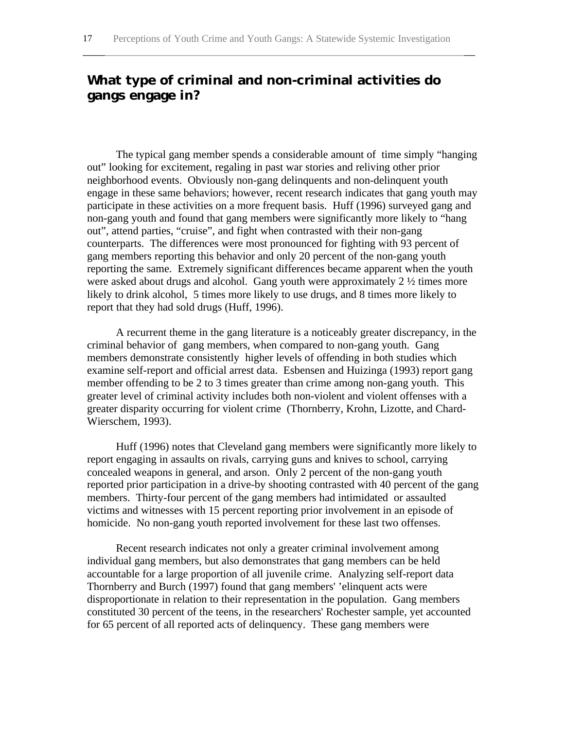# **What type of criminal and non-criminal activities do gangs engage in?**

The typical gang member spends a considerable amount of time simply "hanging out" looking for excitement, regaling in past war stories and reliving other prior neighborhood events. Obviously non-gang delinquents and non-delinquent youth engage in these same behaviors; however, recent research indicates that gang youth may participate in these activities on a more frequent basis. Huff (1996) surveyed gang and non-gang youth and found that gang members were significantly more likely to "hang out", attend parties, "cruise", and fight when contrasted with their non-gang counterparts. The differences were most pronounced for fighting with 93 percent of gang members reporting this behavior and only 20 percent of the non-gang youth reporting the same. Extremely significant differences became apparent when the youth were asked about drugs and alcohol. Gang youth were approximately 2 ½ times more likely to drink alcohol, 5 times more likely to use drugs, and 8 times more likely to report that they had sold drugs (Huff, 1996).

A recurrent theme in the gang literature is a noticeably greater discrepancy, in the criminal behavior of gang members, when compared to non-gang youth. Gang members demonstrate consistently higher levels of offending in both studies which examine self-report and official arrest data. Esbensen and Huizinga (1993) report gang member offending to be 2 to 3 times greater than crime among non-gang youth. This greater level of criminal activity includes both non-violent and violent offenses with a greater disparity occurring for violent crime (Thornberry, Krohn, Lizotte, and Chard-Wierschem, 1993).

Huff (1996) notes that Cleveland gang members were significantly more likely to report engaging in assaults on rivals, carrying guns and knives to school, carrying concealed weapons in general, and arson. Only 2 percent of the non-gang youth reported prior participation in a drive-by shooting contrasted with 40 percent of the gang members. Thirty-four percent of the gang members had intimidated or assaulted victims and witnesses with 15 percent reporting prior involvement in an episode of homicide. No non-gang youth reported involvement for these last two offenses.

Recent research indicates not only a greater criminal involvement among individual gang members, but also demonstrates that gang members can be held accountable for a large proportion of all juvenile crime. Analyzing self-report data Thornberry and Burch (1997) found that gang members' 'elinquent acts were disproportionate in relation to their representation in the population. Gang members constituted 30 percent of the teens, in the researchers' Rochester sample, yet accounted for 65 percent of all reported acts of delinquency. These gang members were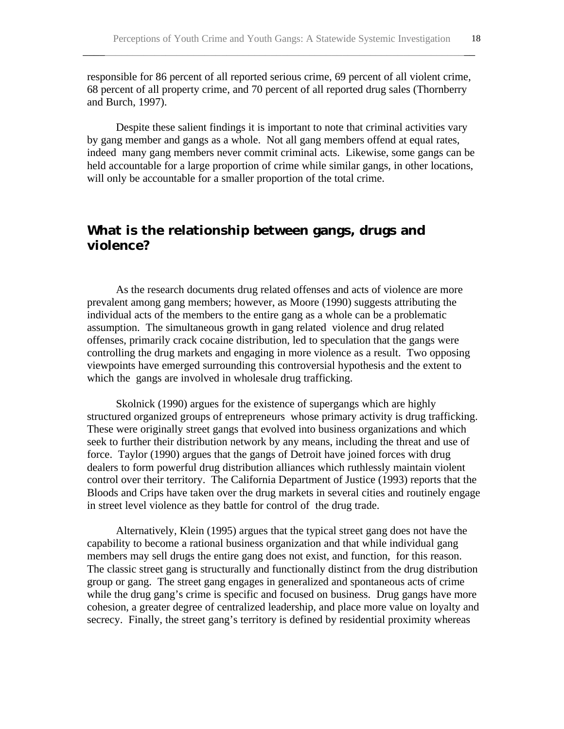responsible for 86 percent of all reported serious crime, 69 percent of all violent crime, 68 percent of all property crime, and 70 percent of all reported drug sales (Thornberry and Burch, 1997).

\_\_\_\_\_\_\_\_\_\_\_\_\_\_\_\_\_\_\_\_\_\_\_\_\_\_\_\_\_\_\_\_\_\_\_\_\_\_\_\_\_\_\_\_\_\_\_\_\_\_\_\_\_\_\_\_\_\_\_\_\_\_\_\_\_\_\_\_\_\_\_

Despite these salient findings it is important to note that criminal activities vary by gang member and gangs as a whole. Not all gang members offend at equal rates, indeed many gang members never commit criminal acts. Likewise, some gangs can be held accountable for a large proportion of crime while similar gangs, in other locations, will only be accountable for a smaller proportion of the total crime.

## **What is the relationship between gangs, drugs and violence?**

As the research documents drug related offenses and acts of violence are more prevalent among gang members; however, as Moore (1990) suggests attributing the individual acts of the members to the entire gang as a whole can be a problematic assumption. The simultaneous growth in gang related violence and drug related offenses, primarily crack cocaine distribution, led to speculation that the gangs were controlling the drug markets and engaging in more violence as a result. Two opposing viewpoints have emerged surrounding this controversial hypothesis and the extent to which the gangs are involved in wholesale drug trafficking.

Skolnick (1990) argues for the existence of supergangs which are highly structured organized groups of entrepreneurs whose primary activity is drug trafficking. These were originally street gangs that evolved into business organizations and which seek to further their distribution network by any means, including the threat and use of force. Taylor (1990) argues that the gangs of Detroit have joined forces with drug dealers to form powerful drug distribution alliances which ruthlessly maintain violent control over their territory. The California Department of Justice (1993) reports that the Bloods and Crips have taken over the drug markets in several cities and routinely engage in street level violence as they battle for control of the drug trade.

Alternatively, Klein (1995) argues that the typical street gang does not have the capability to become a rational business organization and that while individual gang members may sell drugs the entire gang does not exist, and function, for this reason. The classic street gang is structurally and functionally distinct from the drug distribution group or gang. The street gang engages in generalized and spontaneous acts of crime while the drug gang's crime is specific and focused on business. Drug gangs have more cohesion, a greater degree of centralized leadership, and place more value on loyalty and secrecy. Finally, the street gang's territory is defined by residential proximity whereas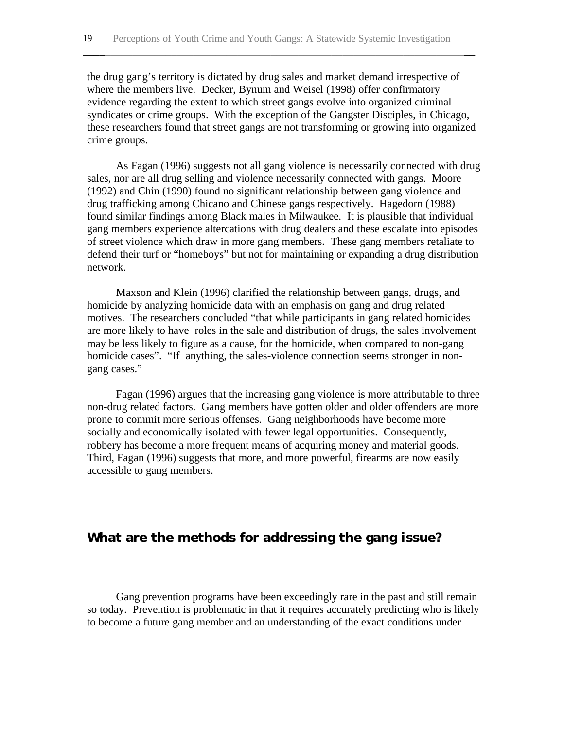the drug gang's territory is dictated by drug sales and market demand irrespective of where the members live. Decker, Bynum and Weisel (1998) offer confirmatory evidence regarding the extent to which street gangs evolve into organized criminal syndicates or crime groups. With the exception of the Gangster Disciples, in Chicago, these researchers found that street gangs are not transforming or growing into organized crime groups.

\_\_\_\_\_\_\_\_\_\_\_\_\_\_\_\_\_\_\_\_\_\_\_\_\_\_\_\_\_\_\_\_\_\_\_\_\_\_\_\_\_\_\_\_\_\_\_\_\_\_\_\_\_\_\_\_\_\_\_\_\_\_\_\_\_\_\_\_\_\_\_

As Fagan (1996) suggests not all gang violence is necessarily connected with drug sales, nor are all drug selling and violence necessarily connected with gangs. Moore (1992) and Chin (1990) found no significant relationship between gang violence and drug trafficking among Chicano and Chinese gangs respectively. Hagedorn (1988) found similar findings among Black males in Milwaukee. It is plausible that individual gang members experience altercations with drug dealers and these escalate into episodes of street violence which draw in more gang members. These gang members retaliate to defend their turf or "homeboys" but not for maintaining or expanding a drug distribution network.

Maxson and Klein (1996) clarified the relationship between gangs, drugs, and homicide by analyzing homicide data with an emphasis on gang and drug related motives. The researchers concluded "that while participants in gang related homicides are more likely to have roles in the sale and distribution of drugs, the sales involvement may be less likely to figure as a cause, for the homicide, when compared to non-gang homicide cases". "If anything, the sales-violence connection seems stronger in nongang cases."

Fagan (1996) argues that the increasing gang violence is more attributable to three non-drug related factors. Gang members have gotten older and older offenders are more prone to commit more serious offenses. Gang neighborhoods have become more socially and economically isolated with fewer legal opportunities. Consequently, robbery has become a more frequent means of acquiring money and material goods. Third, Fagan (1996) suggests that more, and more powerful, firearms are now easily accessible to gang members.

# **What are the methods for addressing the gang issue?**

Gang prevention programs have been exceedingly rare in the past and still remain so today. Prevention is problematic in that it requires accurately predicting who is likely to become a future gang member and an understanding of the exact conditions under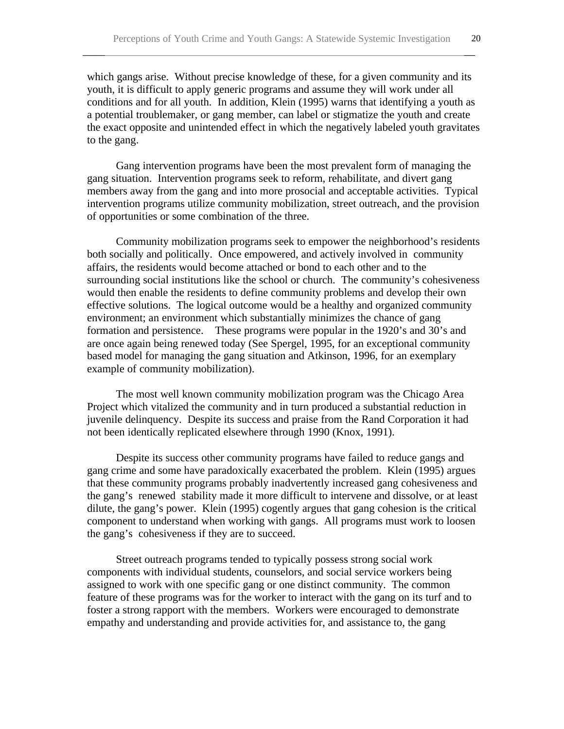which gangs arise. Without precise knowledge of these, for a given community and its youth, it is difficult to apply generic programs and assume they will work under all conditions and for all youth. In addition, Klein (1995) warns that identifying a youth as a potential troublemaker, or gang member, can label or stigmatize the youth and create the exact opposite and unintended effect in which the negatively labeled youth gravitates to the gang.

\_\_\_\_\_\_\_\_\_\_\_\_\_\_\_\_\_\_\_\_\_\_\_\_\_\_\_\_\_\_\_\_\_\_\_\_\_\_\_\_\_\_\_\_\_\_\_\_\_\_\_\_\_\_\_\_\_\_\_\_\_\_\_\_\_\_\_\_\_\_\_

Gang intervention programs have been the most prevalent form of managing the gang situation. Intervention programs seek to reform, rehabilitate, and divert gang members away from the gang and into more prosocial and acceptable activities. Typical intervention programs utilize community mobilization, street outreach, and the provision of opportunities or some combination of the three.

Community mobilization programs seek to empower the neighborhood's residents both socially and politically. Once empowered, and actively involved in community affairs, the residents would become attached or bond to each other and to the surrounding social institutions like the school or church. The community's cohesiveness would then enable the residents to define community problems and develop their own effective solutions. The logical outcome would be a healthy and organized community environment; an environment which substantially minimizes the chance of gang formation and persistence. These programs were popular in the 1920's and 30's and are once again being renewed today (See Spergel, 1995, for an exceptional community based model for managing the gang situation and Atkinson, 1996, for an exemplary example of community mobilization).

The most well known community mobilization program was the Chicago Area Project which vitalized the community and in turn produced a substantial reduction in juvenile delinquency. Despite its success and praise from the Rand Corporation it had not been identically replicated elsewhere through 1990 (Knox, 1991).

Despite its success other community programs have failed to reduce gangs and gang crime and some have paradoxically exacerbated the problem. Klein (1995) argues that these community programs probably inadvertently increased gang cohesiveness and the gang's renewed stability made it more difficult to intervene and dissolve, or at least dilute, the gang's power. Klein (1995) cogently argues that gang cohesion is the critical component to understand when working with gangs. All programs must work to loosen the gang's cohesiveness if they are to succeed.

Street outreach programs tended to typically possess strong social work components with individual students, counselors, and social service workers being assigned to work with one specific gang or one distinct community. The common feature of these programs was for the worker to interact with the gang on its turf and to foster a strong rapport with the members. Workers were encouraged to demonstrate empathy and understanding and provide activities for, and assistance to, the gang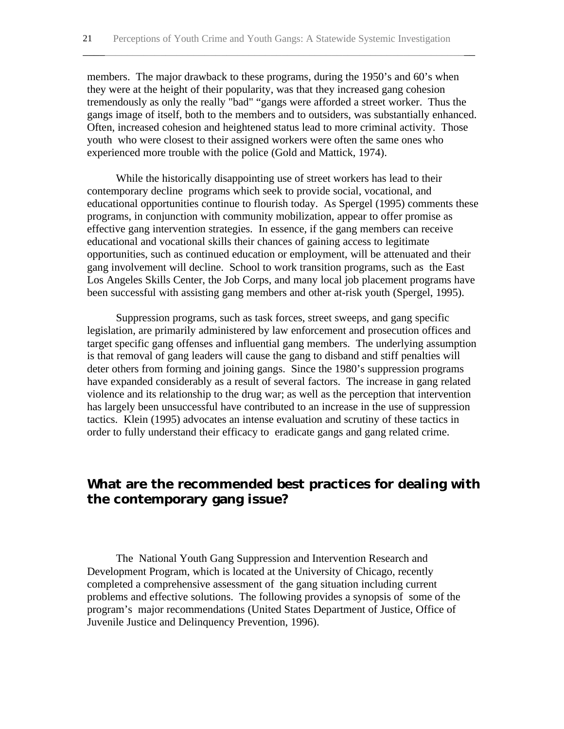members. The major drawback to these programs, during the 1950's and 60's when they were at the height of their popularity, was that they increased gang cohesion tremendously as only the really "bad" "gangs were afforded a street worker. Thus the gangs image of itself, both to the members and to outsiders, was substantially enhanced. Often, increased cohesion and heightened status lead to more criminal activity. Those youth who were closest to their assigned workers were often the same ones who experienced more trouble with the police (Gold and Mattick, 1974).

\_\_\_\_\_\_\_\_\_\_\_\_\_\_\_\_\_\_\_\_\_\_\_\_\_\_\_\_\_\_\_\_\_\_\_\_\_\_\_\_\_\_\_\_\_\_\_\_\_\_\_\_\_\_\_\_\_\_\_\_\_\_\_\_\_\_\_\_\_\_\_

While the historically disappointing use of street workers has lead to their contemporary decline programs which seek to provide social, vocational, and educational opportunities continue to flourish today. As Spergel (1995) comments these programs, in conjunction with community mobilization, appear to offer promise as effective gang intervention strategies. In essence, if the gang members can receive educational and vocational skills their chances of gaining access to legitimate opportunities, such as continued education or employment, will be attenuated and their gang involvement will decline. School to work transition programs, such as the East Los Angeles Skills Center, the Job Corps, and many local job placement programs have been successful with assisting gang members and other at-risk youth (Spergel, 1995).

Suppression programs, such as task forces, street sweeps, and gang specific legislation, are primarily administered by law enforcement and prosecution offices and target specific gang offenses and influential gang members. The underlying assumption is that removal of gang leaders will cause the gang to disband and stiff penalties will deter others from forming and joining gangs. Since the 1980's suppression programs have expanded considerably as a result of several factors. The increase in gang related violence and its relationship to the drug war; as well as the perception that intervention has largely been unsuccessful have contributed to an increase in the use of suppression tactics. Klein (1995) advocates an intense evaluation and scrutiny of these tactics in order to fully understand their efficacy to eradicate gangs and gang related crime.

# **What are the recommended best practices for dealing with the contemporary gang issue?**

The National Youth Gang Suppression and Intervention Research and Development Program, which is located at the University of Chicago, recently completed a comprehensive assessment of the gang situation including current problems and effective solutions. The following provides a synopsis of some of the program's major recommendations (United States Department of Justice, Office of Juvenile Justice and Delinquency Prevention, 1996).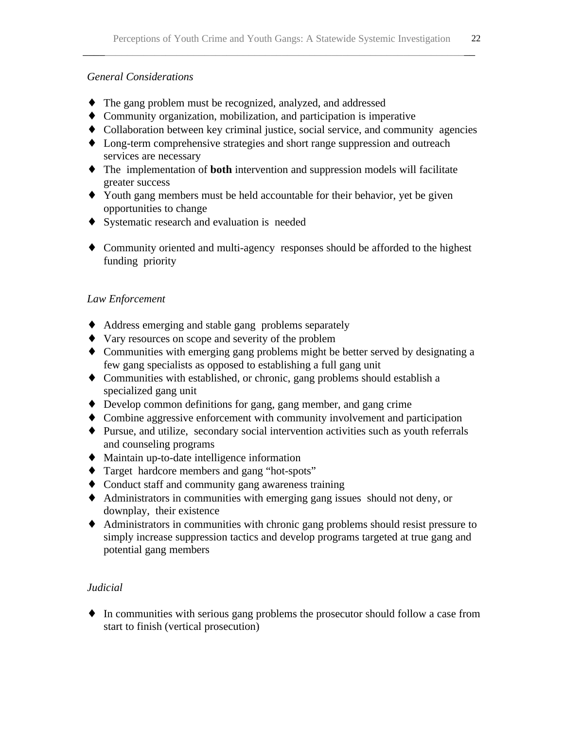### *General Considerations*

- ♦ The gang problem must be recognized, analyzed, and addressed
- ♦ Community organization, mobilization, and participation is imperative
- ♦ Collaboration between key criminal justice, social service, and community agencies
- ♦ Long-term comprehensive strategies and short range suppression and outreach services are necessary
- ♦ The implementation of **both** intervention and suppression models will facilitate greater success
- ♦ Youth gang members must be held accountable for their behavior, yet be given opportunities to change
- ♦ Systematic research and evaluation is needed
- ♦ Community oriented and multi-agency responses should be afforded to the highest funding priority

## *Law Enforcement*

- ♦ Address emerging and stable gang problems separately
- ♦ Vary resources on scope and severity of the problem
- ♦ Communities with emerging gang problems might be better served by designating a few gang specialists as opposed to establishing a full gang unit
- ♦ Communities with established, or chronic, gang problems should establish a specialized gang unit
- ♦ Develop common definitions for gang, gang member, and gang crime
- ♦ Combine aggressive enforcement with community involvement and participation
- ♦ Pursue, and utilize, secondary social intervention activities such as youth referrals and counseling programs
- ♦ Maintain up-to-date intelligence information
- ♦ Target hardcore members and gang "hot-spots"
- ♦ Conduct staff and community gang awareness training
- ♦ Administrators in communities with emerging gang issues should not deny, or downplay, their existence
- ♦ Administrators in communities with chronic gang problems should resist pressure to simply increase suppression tactics and develop programs targeted at true gang and potential gang members

## *Judicial*

♦ In communities with serious gang problems the prosecutor should follow a case from start to finish (vertical prosecution)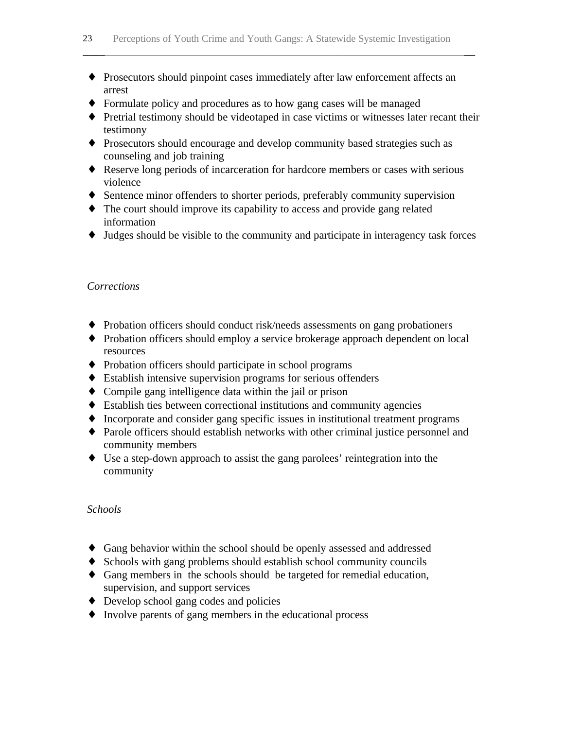♦ Prosecutors should pinpoint cases immediately after law enforcement affects an arrest

\_\_\_\_\_\_\_\_\_\_\_\_\_\_\_\_\_\_\_\_\_\_\_\_\_\_\_\_\_\_\_\_\_\_\_\_\_\_\_\_\_\_\_\_\_\_\_\_\_\_\_\_\_\_\_\_\_\_\_\_\_\_\_\_\_\_\_\_\_\_\_

- ♦ Formulate policy and procedures as to how gang cases will be managed
- ♦ Pretrial testimony should be videotaped in case victims or witnesses later recant their testimony
- ♦ Prosecutors should encourage and develop community based strategies such as counseling and job training
- ♦ Reserve long periods of incarceration for hardcore members or cases with serious violence
- ♦ Sentence minor offenders to shorter periods, preferably community supervision
- ♦ The court should improve its capability to access and provide gang related information
- ♦ Judges should be visible to the community and participate in interagency task forces

## *Corrections*

- ♦ Probation officers should conduct risk/needs assessments on gang probationers
- ♦ Probation officers should employ a service brokerage approach dependent on local resources
- ♦ Probation officers should participate in school programs
- ♦ Establish intensive supervision programs for serious offenders
- ♦ Compile gang intelligence data within the jail or prison
- ♦ Establish ties between correctional institutions and community agencies
- ♦ Incorporate and consider gang specific issues in institutional treatment programs
- ♦ Parole officers should establish networks with other criminal justice personnel and community members
- ♦ Use a step-down approach to assist the gang parolees' reintegration into the community

## *Schools*

- ♦ Gang behavior within the school should be openly assessed and addressed
- ♦ Schools with gang problems should establish school community councils
- ♦ Gang members in the schools should be targeted for remedial education, supervision, and support services
- ♦ Develop school gang codes and policies
- ♦ Involve parents of gang members in the educational process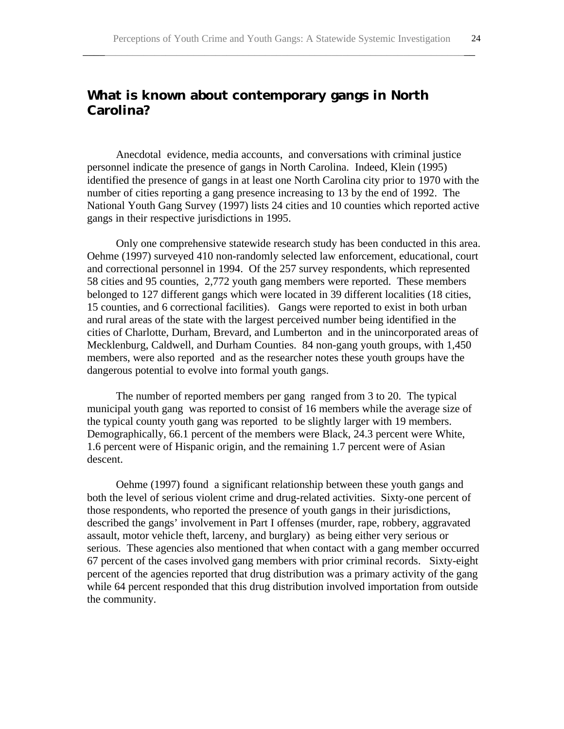## **What is known about contemporary gangs in North Carolina?**

Anecdotal evidence, media accounts, and conversations with criminal justice personnel indicate the presence of gangs in North Carolina. Indeed, Klein (1995) identified the presence of gangs in at least one North Carolina city prior to 1970 with the number of cities reporting a gang presence increasing to 13 by the end of 1992. The National Youth Gang Survey (1997) lists 24 cities and 10 counties which reported active gangs in their respective jurisdictions in 1995.

Only one comprehensive statewide research study has been conducted in this area. Oehme (1997) surveyed 410 non-randomly selected law enforcement, educational, court and correctional personnel in 1994. Of the 257 survey respondents, which represented 58 cities and 95 counties, 2,772 youth gang members were reported. These members belonged to 127 different gangs which were located in 39 different localities (18 cities, 15 counties, and 6 correctional facilities). Gangs were reported to exist in both urban and rural areas of the state with the largest perceived number being identified in the cities of Charlotte, Durham, Brevard, and Lumberton and in the unincorporated areas of Mecklenburg, Caldwell, and Durham Counties. 84 non-gang youth groups, with 1,450 members, were also reported and as the researcher notes these youth groups have the dangerous potential to evolve into formal youth gangs.

The number of reported members per gang ranged from 3 to 20. The typical municipal youth gang was reported to consist of 16 members while the average size of the typical county youth gang was reported to be slightly larger with 19 members. Demographically, 66.1 percent of the members were Black, 24.3 percent were White, 1.6 percent were of Hispanic origin, and the remaining 1.7 percent were of Asian descent.

Oehme (1997) found a significant relationship between these youth gangs and both the level of serious violent crime and drug-related activities. Sixty-one percent of those respondents, who reported the presence of youth gangs in their jurisdictions, described the gangs' involvement in Part I offenses (murder, rape, robbery, aggravated assault, motor vehicle theft, larceny, and burglary) as being either very serious or serious. These agencies also mentioned that when contact with a gang member occurred 67 percent of the cases involved gang members with prior criminal records. Sixty-eight percent of the agencies reported that drug distribution was a primary activity of the gang while 64 percent responded that this drug distribution involved importation from outside the community.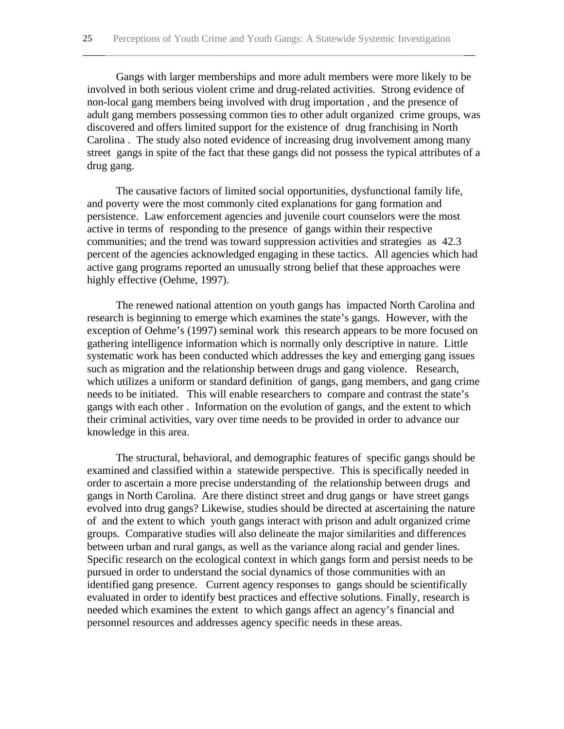Gangs with larger memberships and more adult members were more likely to be involved in both serious violent crime and drug-related activities. Strong evidence of non-local gang members being involved with drug importation , and the presence of adult gang members possessing common ties to other adult organized crime groups, was discovered and offers limited support for the existence of drug franchising in North Carolina . The study also noted evidence of increasing drug involvement among many street gangs in spite of the fact that these gangs did not possess the typical attributes of a drug gang.

The causative factors of limited social opportunities, dysfunctional family life, and poverty were the most commonly cited explanations for gang formation and persistence. Law enforcement agencies and juvenile court counselors were the most active in terms of responding to the presence of gangs within their respective communities; and the trend was toward suppression activities and strategies as 42.3 percent of the agencies acknowledged engaging in these tactics. All agencies which had active gang programs reported an unusually strong belief that these approaches were highly effective (Oehme, 1997).

 The renewed national attention on youth gangs has impacted North Carolina and research is beginning to emerge which examines the state's gangs. However, with the exception of Oehme's (1997) seminal work this research appears to be more focused on gathering intelligence information which is normally only descriptive in nature. Little systematic work has been conducted which addresses the key and emerging gang issues such as migration and the relationship between drugs and gang violence. Research, which utilizes a uniform or standard definition of gangs, gang members, and gang crime needs to be initiated. This will enable researchers to compare and contrast the state's gangs with each other . Information on the evolution of gangs, and the extent to which their criminal activities, vary over time needs to be provided in order to advance our knowledge in this area.

The structural, behavioral, and demographic features of specific gangs should be examined and classified within a statewide perspective. This is specifically needed in order to ascertain a more precise understanding of the relationship between drugs and gangs in North Carolina. Are there distinct street and drug gangs or have street gangs evolved into drug gangs? Likewise, studies should be directed at ascertaining the nature of and the extent to which youth gangs interact with prison and adult organized crime groups. Comparative studies will also delineate the major similarities and differences between urban and rural gangs, as well as the variance along racial and gender lines. Specific research on the ecological context in which gangs form and persist needs to be pursued in order to understand the social dynamics of those communities with an identified gang presence. Current agency responses to gangs should be scientifically evaluated in order to identify best practices and effective solutions. Finally, research is needed which examines the extent to which gangs affect an agency's financial and personnel resources and addresses agency specific needs in these areas.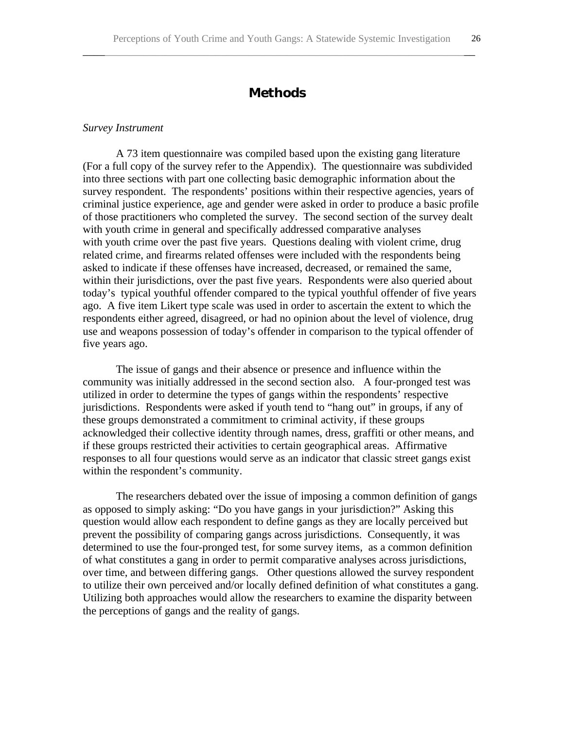## **Methods**

\_\_\_\_\_\_\_\_\_\_\_\_\_\_\_\_\_\_\_\_\_\_\_\_\_\_\_\_\_\_\_\_\_\_\_\_\_\_\_\_\_\_\_\_\_\_\_\_\_\_\_\_\_\_\_\_\_\_\_\_\_\_\_\_\_\_\_\_\_\_\_

#### *Survey Instrument*

A 73 item questionnaire was compiled based upon the existing gang literature (For a full copy of the survey refer to the Appendix). The questionnaire was subdivided into three sections with part one collecting basic demographic information about the survey respondent. The respondents' positions within their respective agencies, years of criminal justice experience, age and gender were asked in order to produce a basic profile of those practitioners who completed the survey. The second section of the survey dealt with youth crime in general and specifically addressed comparative analyses with youth crime over the past five years. Questions dealing with violent crime, drug related crime, and firearms related offenses were included with the respondents being asked to indicate if these offenses have increased, decreased, or remained the same, within their jurisdictions, over the past five years. Respondents were also queried about today's typical youthful offender compared to the typical youthful offender of five years ago. A five item Likert type scale was used in order to ascertain the extent to which the respondents either agreed, disagreed, or had no opinion about the level of violence, drug use and weapons possession of today's offender in comparison to the typical offender of five years ago.

The issue of gangs and their absence or presence and influence within the community was initially addressed in the second section also. A four-pronged test was utilized in order to determine the types of gangs within the respondents' respective jurisdictions. Respondents were asked if youth tend to "hang out" in groups, if any of these groups demonstrated a commitment to criminal activity, if these groups acknowledged their collective identity through names, dress, graffiti or other means, and if these groups restricted their activities to certain geographical areas. Affirmative responses to all four questions would serve as an indicator that classic street gangs exist within the respondent's community.

The researchers debated over the issue of imposing a common definition of gangs as opposed to simply asking: "Do you have gangs in your jurisdiction?" Asking this question would allow each respondent to define gangs as they are locally perceived but prevent the possibility of comparing gangs across jurisdictions. Consequently, it was determined to use the four-pronged test, for some survey items, as a common definition of what constitutes a gang in order to permit comparative analyses across jurisdictions, over time, and between differing gangs. Other questions allowed the survey respondent to utilize their own perceived and/or locally defined definition of what constitutes a gang. Utilizing both approaches would allow the researchers to examine the disparity between the perceptions of gangs and the reality of gangs.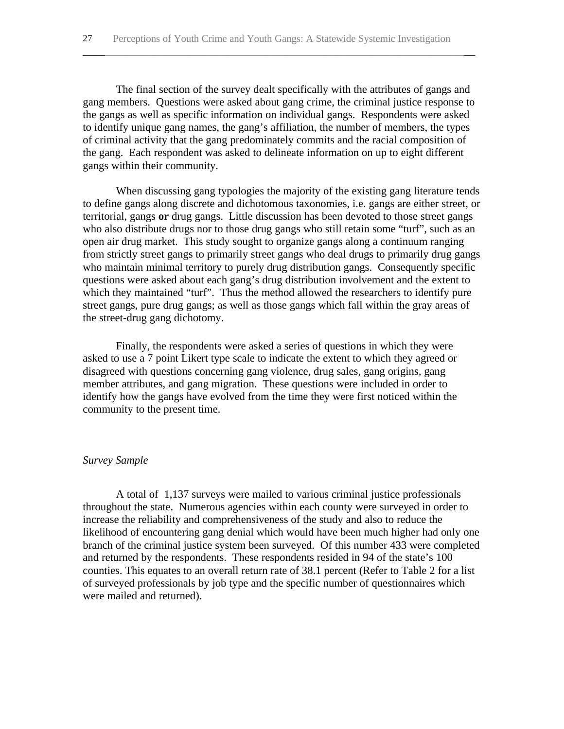The final section of the survey dealt specifically with the attributes of gangs and gang members. Questions were asked about gang crime, the criminal justice response to the gangs as well as specific information on individual gangs. Respondents were asked to identify unique gang names, the gang's affiliation, the number of members, the types of criminal activity that the gang predominately commits and the racial composition of the gang. Each respondent was asked to delineate information on up to eight different gangs within their community.

When discussing gang typologies the majority of the existing gang literature tends to define gangs along discrete and dichotomous taxonomies, i.e. gangs are either street, or territorial, gangs **or** drug gangs. Little discussion has been devoted to those street gangs who also distribute drugs nor to those drug gangs who still retain some "turf", such as an open air drug market. This study sought to organize gangs along a continuum ranging from strictly street gangs to primarily street gangs who deal drugs to primarily drug gangs who maintain minimal territory to purely drug distribution gangs. Consequently specific questions were asked about each gang's drug distribution involvement and the extent to which they maintained "turf". Thus the method allowed the researchers to identify pure street gangs, pure drug gangs; as well as those gangs which fall within the gray areas of the street-drug gang dichotomy.

Finally, the respondents were asked a series of questions in which they were asked to use a 7 point Likert type scale to indicate the extent to which they agreed or disagreed with questions concerning gang violence, drug sales, gang origins, gang member attributes, and gang migration. These questions were included in order to identify how the gangs have evolved from the time they were first noticed within the community to the present time.

#### *Survey Sample*

A total of 1,137 surveys were mailed to various criminal justice professionals throughout the state. Numerous agencies within each county were surveyed in order to increase the reliability and comprehensiveness of the study and also to reduce the likelihood of encountering gang denial which would have been much higher had only one branch of the criminal justice system been surveyed. Of this number 433 were completed and returned by the respondents. These respondents resided in 94 of the state's 100 counties. This equates to an overall return rate of 38.1 percent (Refer to Table 2 for a list of surveyed professionals by job type and the specific number of questionnaires which were mailed and returned).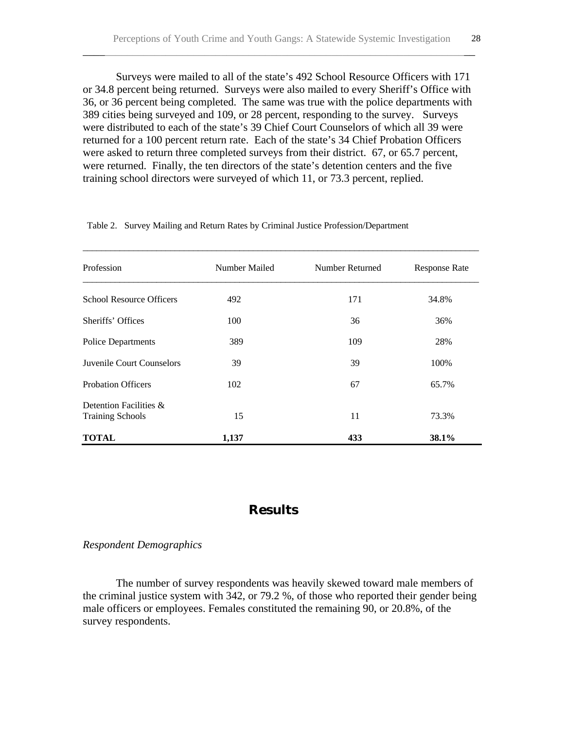Surveys were mailed to all of the state's 492 School Resource Officers with 171 or 34.8 percent being returned. Surveys were also mailed to every Sheriff's Office with 36, or 36 percent being completed. The same was true with the police departments with 389 cities being surveyed and 109, or 28 percent, responding to the survey. Surveys were distributed to each of the state's 39 Chief Court Counselors of which all 39 were returned for a 100 percent return rate. Each of the state's 34 Chief Probation Officers were asked to return three completed surveys from their district. 67, or 65.7 percent, were returned. Finally, the ten directors of the state's detention centers and the five training school directors were surveyed of which 11, or 73.3 percent, replied.

\_\_\_\_\_\_\_\_\_\_\_\_\_\_\_\_\_\_\_\_\_\_\_\_\_\_\_\_\_\_\_\_\_\_\_\_\_\_\_\_\_\_\_\_\_\_\_\_\_\_\_\_\_\_\_\_\_\_\_\_\_\_\_\_\_\_\_\_\_\_\_

| Profession                                        | Number Mailed | Number Returned | <b>Response Rate</b> |
|---------------------------------------------------|---------------|-----------------|----------------------|
| <b>School Resource Officers</b>                   | 492           | 171             | 34.8%                |
| Sheriffs' Offices                                 | 100           | 36              | 36%                  |
| <b>Police Departments</b>                         | 389           | 109             | 28%                  |
| Juvenile Court Counselors                         | 39            | 39              | 100%                 |
| <b>Probation Officers</b>                         | 102           | 67              | 65.7%                |
| Detention Facilities &<br><b>Training Schools</b> | 15            | 11              | 73.3%                |
| <b>TOTAL</b>                                      | 1,137         | 433             | 38.1%                |

Table 2. Survey Mailing and Return Rates by Criminal Justice Profession/Department

## **Results**

### *Respondent Demographics*

The number of survey respondents was heavily skewed toward male members of the criminal justice system with 342, or 79.2 %, of those who reported their gender being male officers or employees. Females constituted the remaining 90, or 20.8%, of the survey respondents.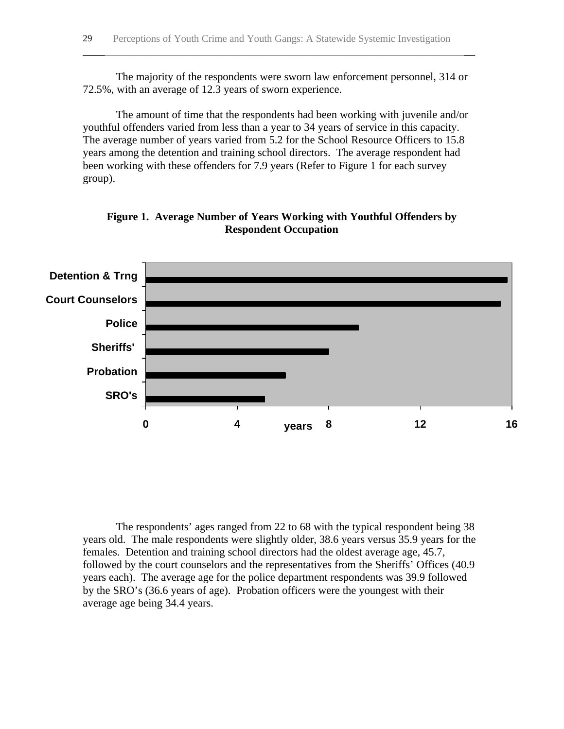The majority of the respondents were sworn law enforcement personnel, 314 or 72.5%, with an average of 12.3 years of sworn experience.

\_\_\_\_\_\_\_\_\_\_\_\_\_\_\_\_\_\_\_\_\_\_\_\_\_\_\_\_\_\_\_\_\_\_\_\_\_\_\_\_\_\_\_\_\_\_\_\_\_\_\_\_\_\_\_\_\_\_\_\_\_\_\_\_\_\_\_\_\_\_\_

The amount of time that the respondents had been working with juvenile and/or youthful offenders varied from less than a year to 34 years of service in this capacity. The average number of years varied from 5.2 for the School Resource Officers to 15.8 years among the detention and training school directors. The average respondent had been working with these offenders for 7.9 years (Refer to Figure 1 for each survey group).





The respondents' ages ranged from 22 to 68 with the typical respondent being 38 years old. The male respondents were slightly older, 38.6 years versus 35.9 years for the females. Detention and training school directors had the oldest average age, 45.7, followed by the court counselors and the representatives from the Sheriffs' Offices (40.9 years each). The average age for the police department respondents was 39.9 followed by the SRO's (36.6 years of age). Probation officers were the youngest with their average age being 34.4 years.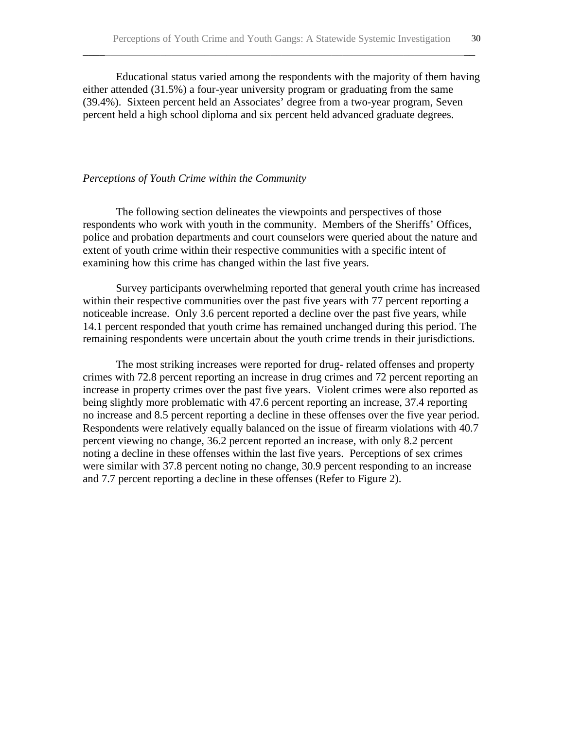Educational status varied among the respondents with the majority of them having either attended (31.5%) a four-year university program or graduating from the same (39.4%). Sixteen percent held an Associates' degree from a two-year program, Seven percent held a high school diploma and six percent held advanced graduate degrees.

\_\_\_\_\_\_\_\_\_\_\_\_\_\_\_\_\_\_\_\_\_\_\_\_\_\_\_\_\_\_\_\_\_\_\_\_\_\_\_\_\_\_\_\_\_\_\_\_\_\_\_\_\_\_\_\_\_\_\_\_\_\_\_\_\_\_\_\_\_\_\_

#### *Perceptions of Youth Crime within the Community*

The following section delineates the viewpoints and perspectives of those respondents who work with youth in the community. Members of the Sheriffs' Offices, police and probation departments and court counselors were queried about the nature and extent of youth crime within their respective communities with a specific intent of examining how this crime has changed within the last five years.

Survey participants overwhelming reported that general youth crime has increased within their respective communities over the past five years with 77 percent reporting a noticeable increase. Only 3.6 percent reported a decline over the past five years, while 14.1 percent responded that youth crime has remained unchanged during this period. The remaining respondents were uncertain about the youth crime trends in their jurisdictions.

The most striking increases were reported for drug- related offenses and property crimes with 72.8 percent reporting an increase in drug crimes and 72 percent reporting an increase in property crimes over the past five years. Violent crimes were also reported as being slightly more problematic with 47.6 percent reporting an increase, 37.4 reporting no increase and 8.5 percent reporting a decline in these offenses over the five year period. Respondents were relatively equally balanced on the issue of firearm violations with 40.7 percent viewing no change, 36.2 percent reported an increase, with only 8.2 percent noting a decline in these offenses within the last five years. Perceptions of sex crimes were similar with 37.8 percent noting no change, 30.9 percent responding to an increase and 7.7 percent reporting a decline in these offenses (Refer to Figure 2).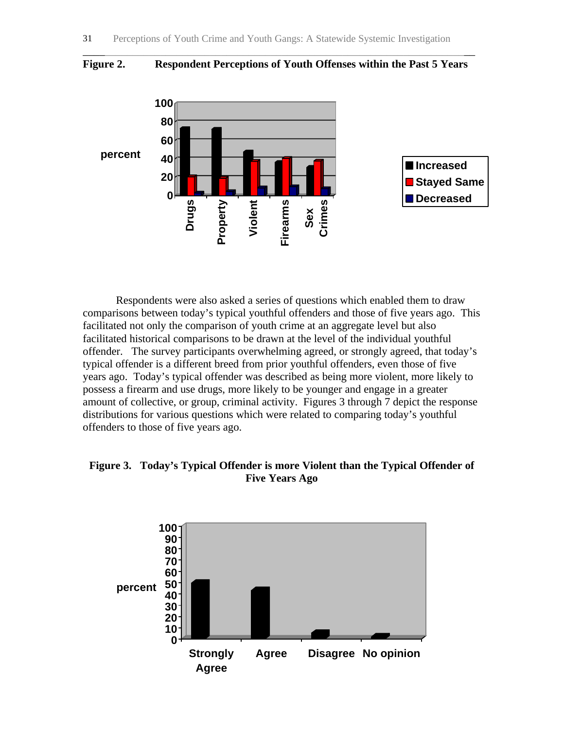

\_\_\_\_\_\_\_\_\_\_\_\_\_\_\_\_\_\_\_\_\_\_\_\_\_\_\_\_\_\_\_\_\_\_\_\_\_\_\_\_\_\_\_\_\_\_\_\_\_\_\_\_\_\_\_\_\_\_\_\_\_\_\_\_\_\_\_\_\_\_\_ **Figure 2. Respondent Perceptions of Youth Offenses within the Past 5 Years**

Respondents were also asked a series of questions which enabled them to draw comparisons between today's typical youthful offenders and those of five years ago. This facilitated not only the comparison of youth crime at an aggregate level but also facilitated historical comparisons to be drawn at the level of the individual youthful offender. The survey participants overwhelming agreed, or strongly agreed, that today's typical offender is a different breed from prior youthful offenders, even those of five years ago. Today's typical offender was described as being more violent, more likely to possess a firearm and use drugs, more likely to be younger and engage in a greater amount of collective, or group, criminal activity. Figures 3 through 7 depict the response distributions for various questions which were related to comparing today's youthful offenders to those of five years ago.

## **Figure 3. Today's Typical Offender is more Violent than the Typical Offender of Five Years Ago**

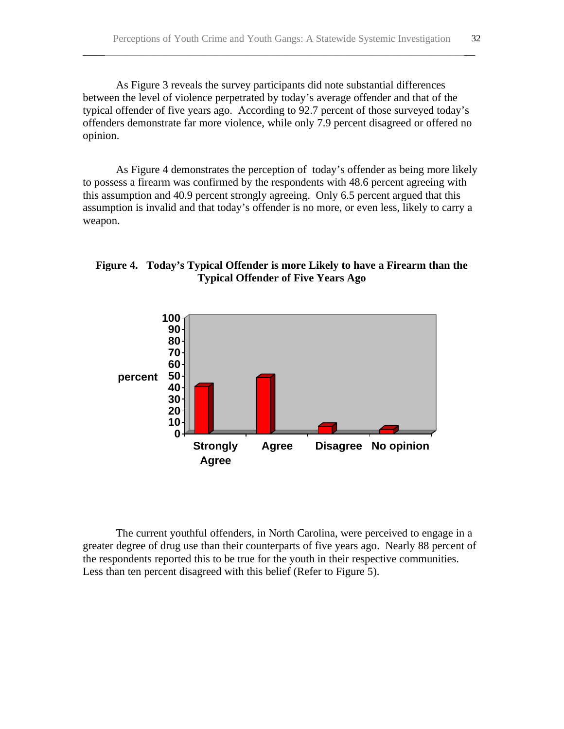As Figure 3 reveals the survey participants did note substantial differences between the level of violence perpetrated by today's average offender and that of the typical offender of five years ago. According to 92.7 percent of those surveyed today's offenders demonstrate far more violence, while only 7.9 percent disagreed or offered no opinion.

\_\_\_\_\_\_\_\_\_\_\_\_\_\_\_\_\_\_\_\_\_\_\_\_\_\_\_\_\_\_\_\_\_\_\_\_\_\_\_\_\_\_\_\_\_\_\_\_\_\_\_\_\_\_\_\_\_\_\_\_\_\_\_\_\_\_\_\_\_\_\_

As Figure 4 demonstrates the perception of today's offender as being more likely to possess a firearm was confirmed by the respondents with 48.6 percent agreeing with this assumption and 40.9 percent strongly agreeing. Only 6.5 percent argued that this assumption is invalid and that today's offender is no more, or even less, likely to carry a weapon.

### **Figure 4. Today's Typical Offender is more Likely to have a Firearm than the Typical Offender of Five Years Ago**



The current youthful offenders, in North Carolina, were perceived to engage in a greater degree of drug use than their counterparts of five years ago. Nearly 88 percent of the respondents reported this to be true for the youth in their respective communities. Less than ten percent disagreed with this belief (Refer to Figure 5).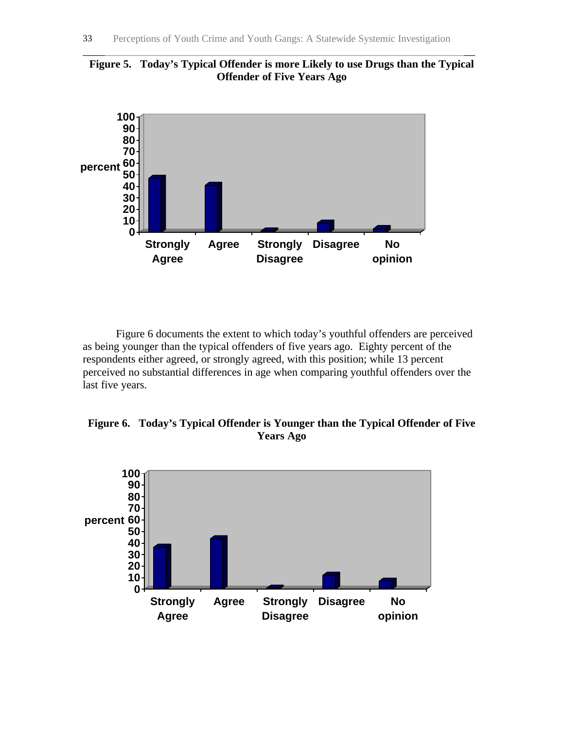



Figure 6 documents the extent to which today's youthful offenders are perceived as being younger than the typical offenders of five years ago. Eighty percent of the respondents either agreed, or strongly agreed, with this position; while 13 percent perceived no substantial differences in age when comparing youthful offenders over the last five years.



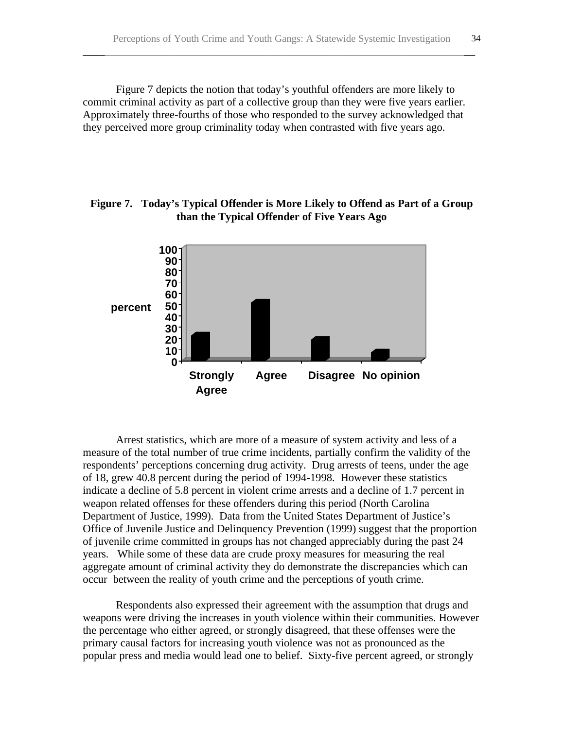Figure 7 depicts the notion that today's youthful offenders are more likely to commit criminal activity as part of a collective group than they were five years earlier. Approximately three-fourths of those who responded to the survey acknowledged that they perceived more group criminality today when contrasted with five years ago.

\_\_\_\_\_\_\_\_\_\_\_\_\_\_\_\_\_\_\_\_\_\_\_\_\_\_\_\_\_\_\_\_\_\_\_\_\_\_\_\_\_\_\_\_\_\_\_\_\_\_\_\_\_\_\_\_\_\_\_\_\_\_\_\_\_\_\_\_\_\_\_

### **Figure 7. Today's Typical Offender is More Likely to Offend as Part of a Group than the Typical Offender of Five Years Ago**



Arrest statistics, which are more of a measure of system activity and less of a measure of the total number of true crime incidents, partially confirm the validity of the respondents' perceptions concerning drug activity. Drug arrests of teens, under the age of 18, grew 40.8 percent during the period of 1994-1998. However these statistics indicate a decline of 5.8 percent in violent crime arrests and a decline of 1.7 percent in weapon related offenses for these offenders during this period (North Carolina Department of Justice, 1999). Data from the United States Department of Justice's Office of Juvenile Justice and Delinquency Prevention (1999) suggest that the proportion of juvenile crime committed in groups has not changed appreciably during the past 24 years. While some of these data are crude proxy measures for measuring the real aggregate amount of criminal activity they do demonstrate the discrepancies which can occur between the reality of youth crime and the perceptions of youth crime.

Respondents also expressed their agreement with the assumption that drugs and weapons were driving the increases in youth violence within their communities. However the percentage who either agreed, or strongly disagreed, that these offenses were the primary causal factors for increasing youth violence was not as pronounced as the popular press and media would lead one to belief. Sixty-five percent agreed, or strongly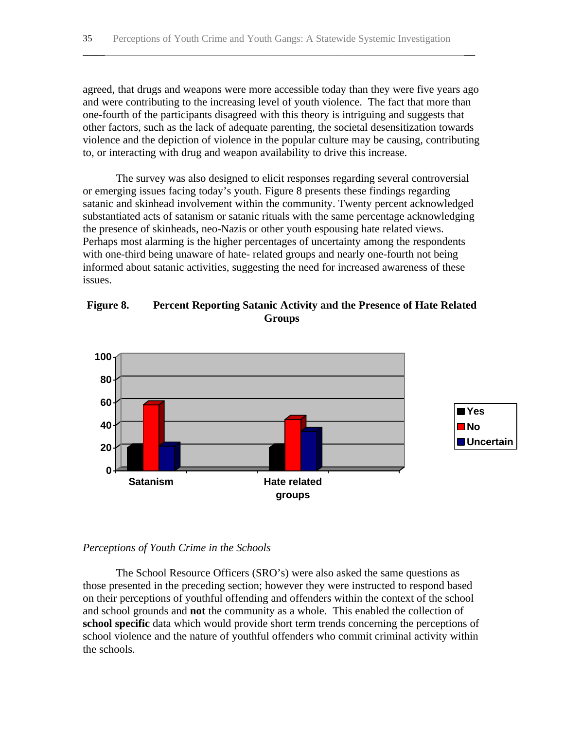agreed, that drugs and weapons were more accessible today than they were five years ago and were contributing to the increasing level of youth violence. The fact that more than one-fourth of the participants disagreed with this theory is intriguing and suggests that other factors, such as the lack of adequate parenting, the societal desensitization towards violence and the depiction of violence in the popular culture may be causing, contributing to, or interacting with drug and weapon availability to drive this increase.

The survey was also designed to elicit responses regarding several controversial or emerging issues facing today's youth. Figure 8 presents these findings regarding satanic and skinhead involvement within the community. Twenty percent acknowledged substantiated acts of satanism or satanic rituals with the same percentage acknowledging the presence of skinheads, neo-Nazis or other youth espousing hate related views. Perhaps most alarming is the higher percentages of uncertainty among the respondents with one-third being unaware of hate- related groups and nearly one-fourth not being informed about satanic activities, suggesting the need for increased awareness of these issues.

**Figure 8. Percent Reporting Satanic Activity and the Presence of Hate Related Groups**



### *Perceptions of Youth Crime in the Schools*

The School Resource Officers (SRO's) were also asked the same questions as those presented in the preceding section; however they were instructed to respond based on their perceptions of youthful offending and offenders within the context of the school and school grounds and **not** the community as a whole. This enabled the collection of **school specific** data which would provide short term trends concerning the perceptions of school violence and the nature of youthful offenders who commit criminal activity within the schools.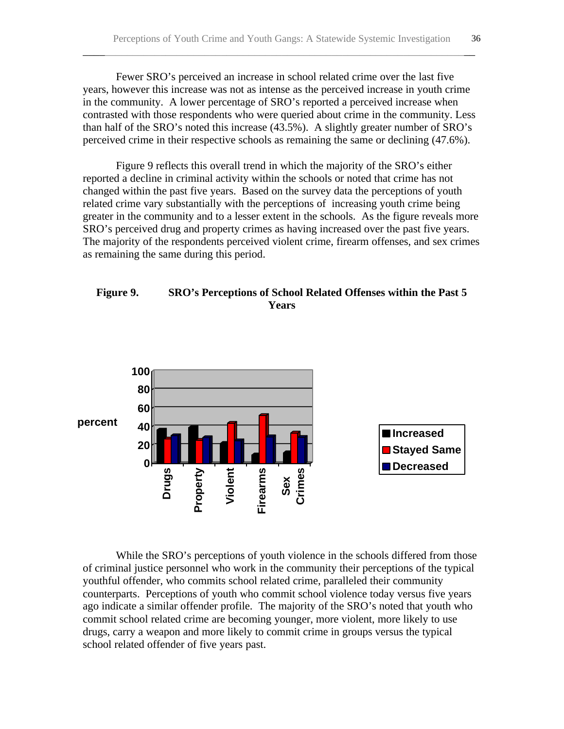Fewer SRO's perceived an increase in school related crime over the last five years, however this increase was not as intense as the perceived increase in youth crime in the community. A lower percentage of SRO's reported a perceived increase when contrasted with those respondents who were queried about crime in the community. Less than half of the SRO's noted this increase (43.5%). A slightly greater number of SRO's perceived crime in their respective schools as remaining the same or declining (47.6%).

\_\_\_\_\_\_\_\_\_\_\_\_\_\_\_\_\_\_\_\_\_\_\_\_\_\_\_\_\_\_\_\_\_\_\_\_\_\_\_\_\_\_\_\_\_\_\_\_\_\_\_\_\_\_\_\_\_\_\_\_\_\_\_\_\_\_\_\_\_\_\_

Figure 9 reflects this overall trend in which the majority of the SRO's either reported a decline in criminal activity within the schools or noted that crime has not changed within the past five years. Based on the survey data the perceptions of youth related crime vary substantially with the perceptions of increasing youth crime being greater in the community and to a lesser extent in the schools. As the figure reveals more SRO's perceived drug and property crimes as having increased over the past five years. The majority of the respondents perceived violent crime, firearm offenses, and sex crimes as remaining the same during this period.

### **Figure 9. SRO's Perceptions of School Related Offenses within the Past 5 Years**



While the SRO's perceptions of youth violence in the schools differed from those of criminal justice personnel who work in the community their perceptions of the typical youthful offender, who commits school related crime, paralleled their community counterparts. Perceptions of youth who commit school violence today versus five years ago indicate a similar offender profile. The majority of the SRO's noted that youth who commit school related crime are becoming younger, more violent, more likely to use drugs, carry a weapon and more likely to commit crime in groups versus the typical school related offender of five years past.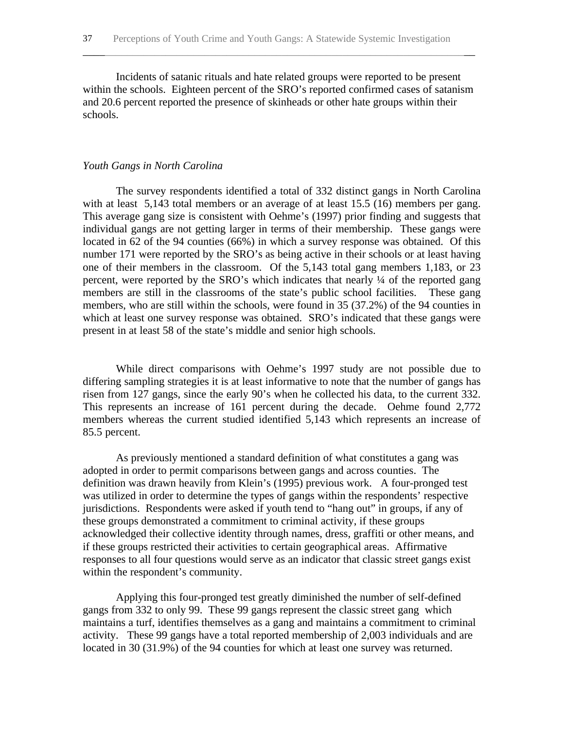Incidents of satanic rituals and hate related groups were reported to be present within the schools. Eighteen percent of the SRO's reported confirmed cases of satanism and 20.6 percent reported the presence of skinheads or other hate groups within their schools.

\_\_\_\_\_\_\_\_\_\_\_\_\_\_\_\_\_\_\_\_\_\_\_\_\_\_\_\_\_\_\_\_\_\_\_\_\_\_\_\_\_\_\_\_\_\_\_\_\_\_\_\_\_\_\_\_\_\_\_\_\_\_\_\_\_\_\_\_\_\_\_

#### *Youth Gangs in North Carolina*

The survey respondents identified a total of 332 distinct gangs in North Carolina with at least 5,143 total members or an average of at least 15.5 (16) members per gang. This average gang size is consistent with Oehme's (1997) prior finding and suggests that individual gangs are not getting larger in terms of their membership. These gangs were located in 62 of the 94 counties (66%) in which a survey response was obtained. Of this number 171 were reported by the SRO's as being active in their schools or at least having one of their members in the classroom. Of the 5,143 total gang members 1,183, or 23 percent, were reported by the SRO's which indicates that nearly ¼ of the reported gang members are still in the classrooms of the state's public school facilities. These gang members, who are still within the schools, were found in 35 (37.2%) of the 94 counties in which at least one survey response was obtained. SRO's indicated that these gangs were present in at least 58 of the state's middle and senior high schools.

While direct comparisons with Oehme's 1997 study are not possible due to differing sampling strategies it is at least informative to note that the number of gangs has risen from 127 gangs, since the early 90's when he collected his data, to the current 332. This represents an increase of 161 percent during the decade. Oehme found 2,772 members whereas the current studied identified 5,143 which represents an increase of 85.5 percent.

As previously mentioned a standard definition of what constitutes a gang was adopted in order to permit comparisons between gangs and across counties. The definition was drawn heavily from Klein's (1995) previous work. A four-pronged test was utilized in order to determine the types of gangs within the respondents' respective jurisdictions. Respondents were asked if youth tend to "hang out" in groups, if any of these groups demonstrated a commitment to criminal activity, if these groups acknowledged their collective identity through names, dress, graffiti or other means, and if these groups restricted their activities to certain geographical areas. Affirmative responses to all four questions would serve as an indicator that classic street gangs exist within the respondent's community.

Applying this four-pronged test greatly diminished the number of self-defined gangs from 332 to only 99. These 99 gangs represent the classic street gang which maintains a turf, identifies themselves as a gang and maintains a commitment to criminal activity. These 99 gangs have a total reported membership of 2,003 individuals and are located in 30 (31.9%) of the 94 counties for which at least one survey was returned.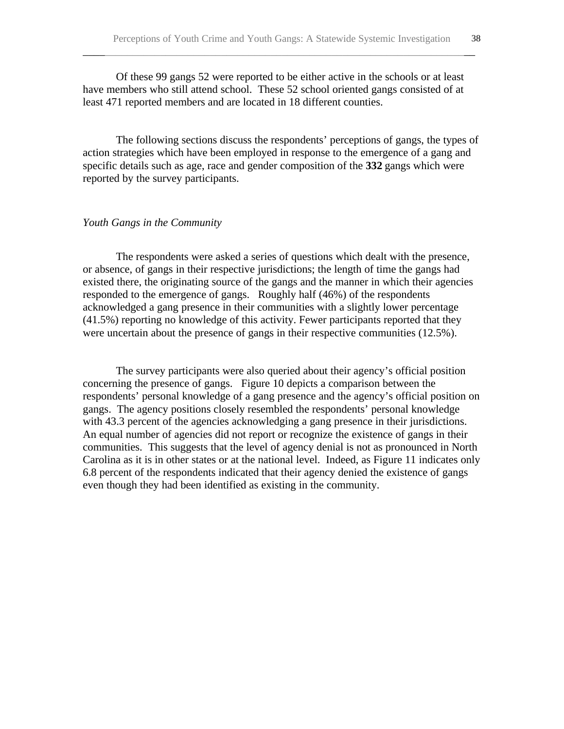Of these 99 gangs 52 were reported to be either active in the schools or at least have members who still attend school. These 52 school oriented gangs consisted of at least 471 reported members and are located in 18 different counties.

\_\_\_\_\_\_\_\_\_\_\_\_\_\_\_\_\_\_\_\_\_\_\_\_\_\_\_\_\_\_\_\_\_\_\_\_\_\_\_\_\_\_\_\_\_\_\_\_\_\_\_\_\_\_\_\_\_\_\_\_\_\_\_\_\_\_\_\_\_\_\_

The following sections discuss the respondents' perceptions of gangs, the types of action strategies which have been employed in response to the emergence of a gang and specific details such as age, race and gender composition of the **332** gangs which were reported by the survey participants.

#### *Youth Gangs in the Community*

The respondents were asked a series of questions which dealt with the presence, or absence, of gangs in their respective jurisdictions; the length of time the gangs had existed there, the originating source of the gangs and the manner in which their agencies responded to the emergence of gangs. Roughly half (46%) of the respondents acknowledged a gang presence in their communities with a slightly lower percentage (41.5%) reporting no knowledge of this activity. Fewer participants reported that they were uncertain about the presence of gangs in their respective communities (12.5%).

The survey participants were also queried about their agency's official position concerning the presence of gangs. Figure 10 depicts a comparison between the respondents' personal knowledge of a gang presence and the agency's official position on gangs. The agency positions closely resembled the respondents' personal knowledge with 43.3 percent of the agencies acknowledging a gang presence in their jurisdictions. An equal number of agencies did not report or recognize the existence of gangs in their communities. This suggests that the level of agency denial is not as pronounced in North Carolina as it is in other states or at the national level. Indeed, as Figure 11 indicates only 6.8 percent of the respondents indicated that their agency denied the existence of gangs even though they had been identified as existing in the community.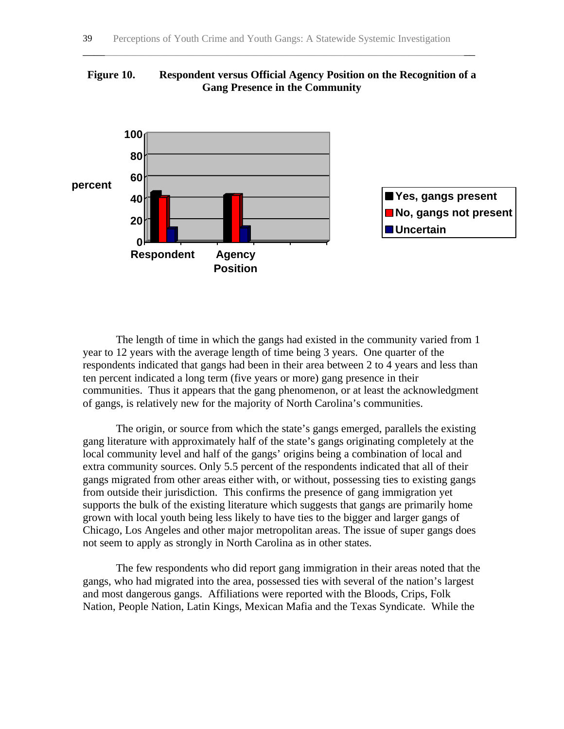



The length of time in which the gangs had existed in the community varied from 1 year to 12 years with the average length of time being 3 years. One quarter of the respondents indicated that gangs had been in their area between 2 to 4 years and less than ten percent indicated a long term (five years or more) gang presence in their communities. Thus it appears that the gang phenomenon, or at least the acknowledgment of gangs, is relatively new for the majority of North Carolina's communities.

The origin, or source from which the state's gangs emerged, parallels the existing gang literature with approximately half of the state's gangs originating completely at the local community level and half of the gangs' origins being a combination of local and extra community sources. Only 5.5 percent of the respondents indicated that all of their gangs migrated from other areas either with, or without, possessing ties to existing gangs from outside their jurisdiction. This confirms the presence of gang immigration yet supports the bulk of the existing literature which suggests that gangs are primarily home grown with local youth being less likely to have ties to the bigger and larger gangs of Chicago, Los Angeles and other major metropolitan areas. The issue of super gangs does not seem to apply as strongly in North Carolina as in other states.

The few respondents who did report gang immigration in their areas noted that the gangs, who had migrated into the area, possessed ties with several of the nation's largest and most dangerous gangs. Affiliations were reported with the Bloods, Crips, Folk Nation, People Nation, Latin Kings, Mexican Mafia and the Texas Syndicate. While the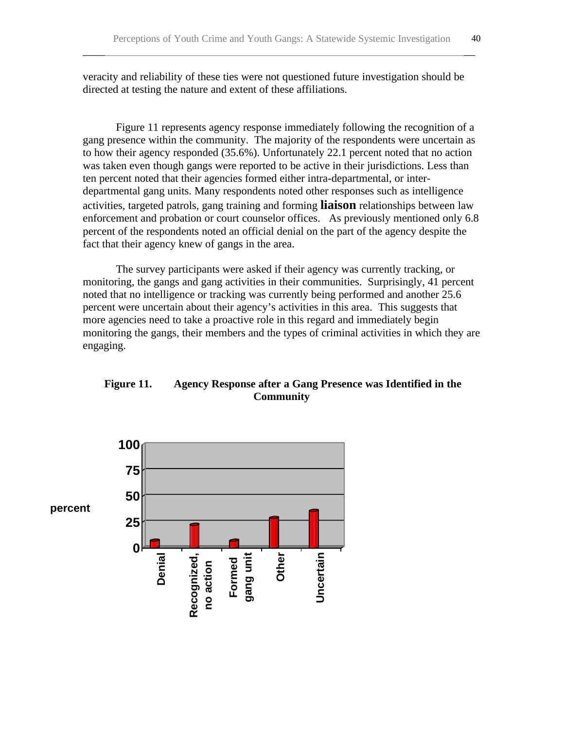veracity and reliability of these ties were not questioned future investigation should be directed at testing the nature and extent of these affiliations.

\_\_\_\_\_\_\_\_\_\_\_\_\_\_\_\_\_\_\_\_\_\_\_\_\_\_\_\_\_\_\_\_\_\_\_\_\_\_\_\_\_\_\_\_\_\_\_\_\_\_\_\_\_\_\_\_\_\_\_\_\_\_\_\_\_\_\_\_\_\_\_

Figure 11 represents agency response immediately following the recognition of a gang presence within the community. The majority of the respondents were uncertain as to how their agency responded (35.6%). Unfortunately 22.1 percent noted that no action was taken even though gangs were reported to be active in their jurisdictions. Less than ten percent noted that their agencies formed either intra-departmental, or interdepartmental gang units. Many respondents noted other responses such as intelligence activities, targeted patrols, gang training and forming **liaison** relationships between law enforcement and probation or court counselor offices. As previously mentioned only 6.8 percent of the respondents noted an official denial on the part of the agency despite the fact that their agency knew of gangs in the area.

The survey participants were asked if their agency was currently tracking, or monitoring, the gangs and gang activities in their communities. Surprisingly, 41 percent noted that no intelligence or tracking was currently being performed and another 25.6 percent were uncertain about their agency's activities in this area. This suggests that more agencies need to take a proactive role in this regard and immediately begin monitoring the gangs, their members and the types of criminal activities in which they are engaging.



**no action**

### **Figure 11. Agency Response after a Gang Presence was Identified in the Community**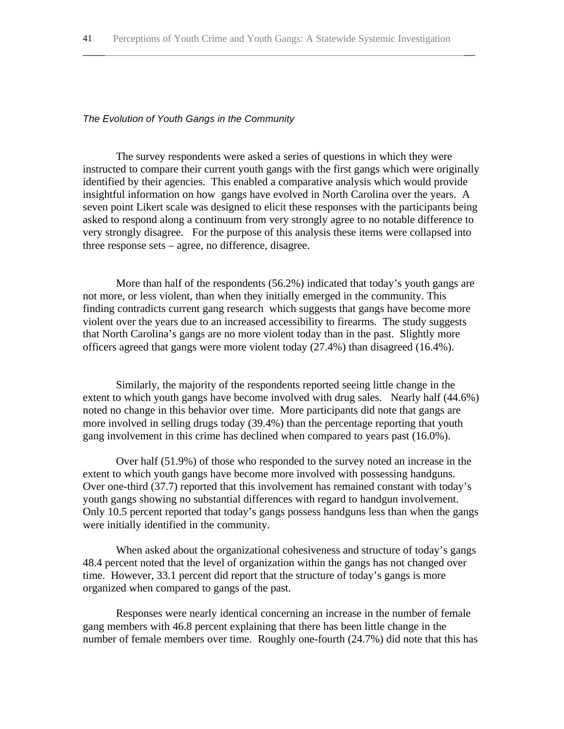#### *The Evolution of Youth Gangs in the Community*

The survey respondents were asked a series of questions in which they were instructed to compare their current youth gangs with the first gangs which were originally identified by their agencies. This enabled a comparative analysis which would provide insightful information on how gangs have evolved in North Carolina over the years. A seven point Likert scale was designed to elicit these responses with the participants being asked to respond along a continuum from very strongly agree to no notable difference to very strongly disagree. For the purpose of this analysis these items were collapsed into three response sets – agree, no difference, disagree.

More than half of the respondents (56.2%) indicated that today's youth gangs are not more, or less violent, than when they initially emerged in the community. This finding contradicts current gang research which suggests that gangs have become more violent over the years due to an increased accessibility to firearms. The study suggests that North Carolina's gangs are no more violent today than in the past. Slightly more officers agreed that gangs were more violent today (27.4%) than disagreed (16.4%).

Similarly, the majority of the respondents reported seeing little change in the extent to which youth gangs have become involved with drug sales. Nearly half (44.6%) noted no change in this behavior over time. More participants did note that gangs are more involved in selling drugs today (39.4%) than the percentage reporting that youth gang involvement in this crime has declined when compared to years past (16.0%).

Over half (51.9%) of those who responded to the survey noted an increase in the extent to which youth gangs have become more involved with possessing handguns. Over one-third (37.7) reported that this involvement has remained constant with today's youth gangs showing no substantial differences with regard to handgun involvement. Only 10.5 percent reported that today's gangs possess handguns less than when the gangs were initially identified in the community.

When asked about the organizational cohesiveness and structure of today's gangs 48.4 percent noted that the level of organization within the gangs has not changed over time. However, 33.1 percent did report that the structure of today's gangs is more organized when compared to gangs of the past.

Responses were nearly identical concerning an increase in the number of female gang members with 46.8 percent explaining that there has been little change in the number of female members over time. Roughly one-fourth (24.7%) did note that this has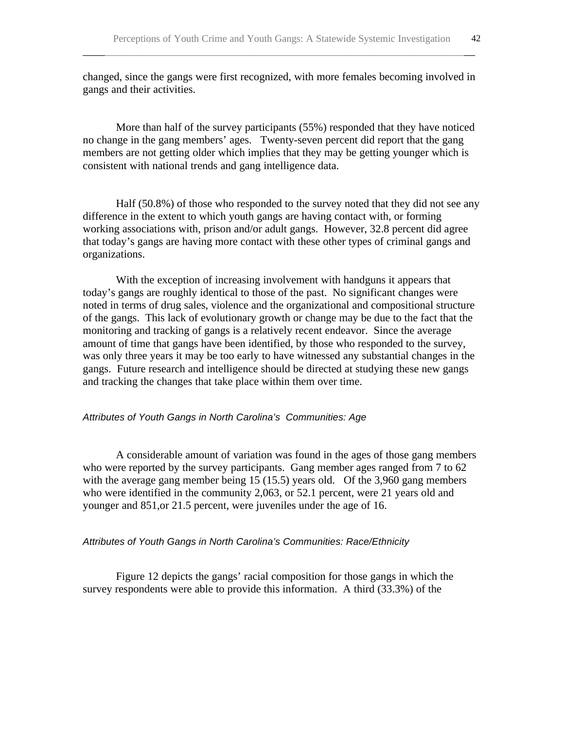changed, since the gangs were first recognized, with more females becoming involved in gangs and their activities.

\_\_\_\_\_\_\_\_\_\_\_\_\_\_\_\_\_\_\_\_\_\_\_\_\_\_\_\_\_\_\_\_\_\_\_\_\_\_\_\_\_\_\_\_\_\_\_\_\_\_\_\_\_\_\_\_\_\_\_\_\_\_\_\_\_\_\_\_\_\_\_

More than half of the survey participants (55%) responded that they have noticed no change in the gang members' ages. Twenty-seven percent did report that the gang members are not getting older which implies that they may be getting younger which is consistent with national trends and gang intelligence data.

Half (50.8%) of those who responded to the survey noted that they did not see any difference in the extent to which youth gangs are having contact with, or forming working associations with, prison and/or adult gangs. However, 32.8 percent did agree that today's gangs are having more contact with these other types of criminal gangs and organizations.

With the exception of increasing involvement with handguns it appears that today's gangs are roughly identical to those of the past. No significant changes were noted in terms of drug sales, violence and the organizational and compositional structure of the gangs. This lack of evolutionary growth or change may be due to the fact that the monitoring and tracking of gangs is a relatively recent endeavor. Since the average amount of time that gangs have been identified, by those who responded to the survey, was only three years it may be too early to have witnessed any substantial changes in the gangs. Future research and intelligence should be directed at studying these new gangs and tracking the changes that take place within them over time.

### *Attributes of Youth Gangs in North Carolina's Communities: Age*

A considerable amount of variation was found in the ages of those gang members who were reported by the survey participants. Gang member ages ranged from 7 to 62 with the average gang member being 15 (15.5) years old. Of the 3,960 gang members who were identified in the community 2,063, or 52.1 percent, were 21 years old and younger and 851,or 21.5 percent, were juveniles under the age of 16.

### *Attributes of Youth Gangs in North Carolina's Communities: Race/Ethnicity*

Figure 12 depicts the gangs' racial composition for those gangs in which the survey respondents were able to provide this information. A third (33.3%) of the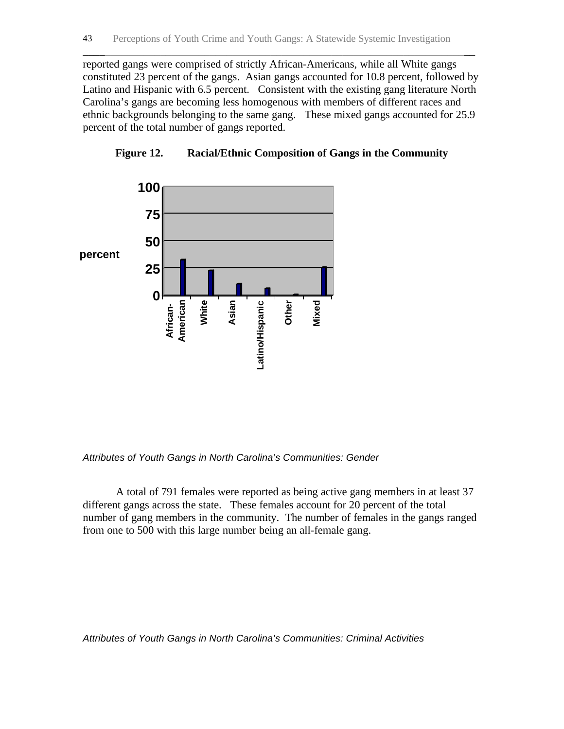reported gangs were comprised of strictly African-Americans, while all White gangs constituted 23 percent of the gangs. Asian gangs accounted for 10.8 percent, followed by Latino and Hispanic with 6.5 percent. Consistent with the existing gang literature North Carolina's gangs are becoming less homogenous with members of different races and ethnic backgrounds belonging to the same gang. These mixed gangs accounted for 25.9 percent of the total number of gangs reported.

\_\_\_\_\_\_\_\_\_\_\_\_\_\_\_\_\_\_\_\_\_\_\_\_\_\_\_\_\_\_\_\_\_\_\_\_\_\_\_\_\_\_\_\_\_\_\_\_\_\_\_\_\_\_\_\_\_\_\_\_\_\_\_\_\_\_\_\_\_\_\_





*Attributes of Youth Gangs in North Carolina's Communities: Gender*

A total of 791 females were reported as being active gang members in at least 37 different gangs across the state. These females account for 20 percent of the total number of gang members in the community. The number of females in the gangs ranged from one to 500 with this large number being an all-female gang.

*Attributes of Youth Gangs in North Carolina's Communities: Criminal Activities*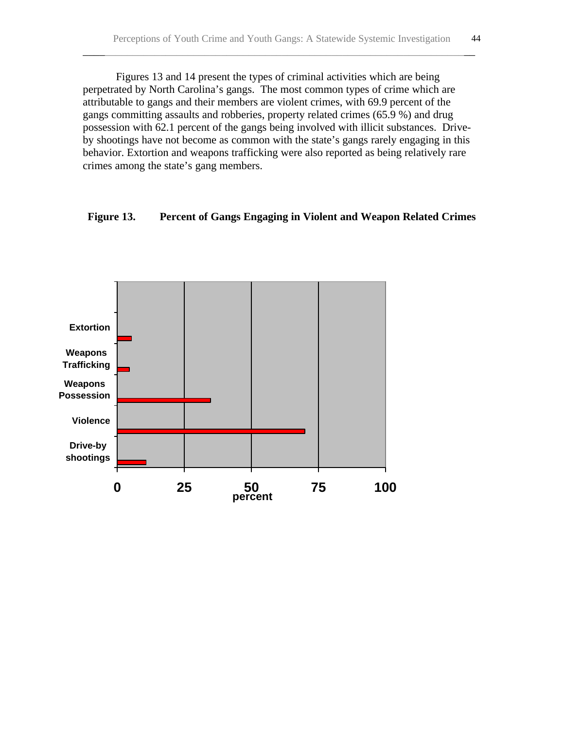Figures 13 and 14 present the types of criminal activities which are being perpetrated by North Carolina's gangs. The most common types of crime which are attributable to gangs and their members are violent crimes, with 69.9 percent of the gangs committing assaults and robberies, property related crimes (65.9 %) and drug possession with 62.1 percent of the gangs being involved with illicit substances. Driveby shootings have not become as common with the state's gangs rarely engaging in this behavior. Extortion and weapons trafficking were also reported as being relatively rare crimes among the state's gang members.

\_\_\_\_\_\_\_\_\_\_\_\_\_\_\_\_\_\_\_\_\_\_\_\_\_\_\_\_\_\_\_\_\_\_\_\_\_\_\_\_\_\_\_\_\_\_\_\_\_\_\_\_\_\_\_\_\_\_\_\_\_\_\_\_\_\_\_\_\_\_\_

#### **Figure 13. Percent of Gangs Engaging in Violent and Weapon Related Crimes**

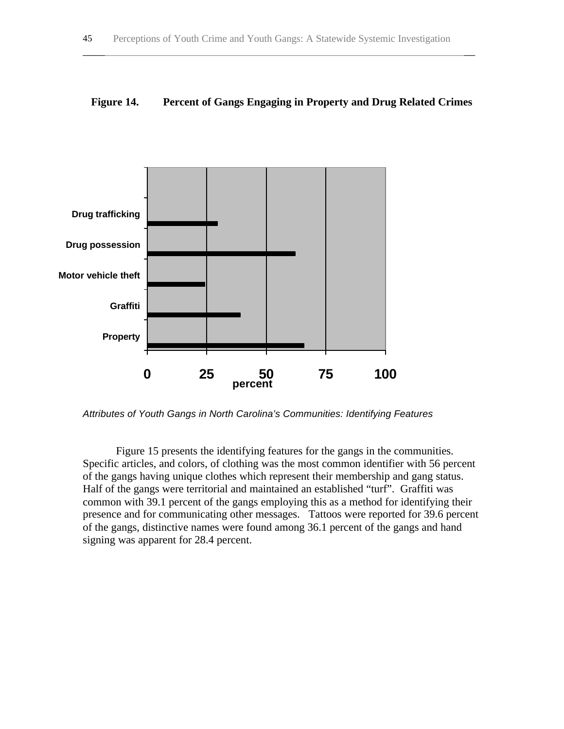### **Figure 14. Percent of Gangs Engaging in Property and Drug Related Crimes**

\_\_\_\_\_\_\_\_\_\_\_\_\_\_\_\_\_\_\_\_\_\_\_\_\_\_\_\_\_\_\_\_\_\_\_\_\_\_\_\_\_\_\_\_\_\_\_\_\_\_\_\_\_\_\_\_\_\_\_\_\_\_\_\_\_\_\_\_\_\_\_



*Attributes of Youth Gangs in North Carolina's Communities: Identifying Features*

Figure 15 presents the identifying features for the gangs in the communities. Specific articles, and colors, of clothing was the most common identifier with 56 percent of the gangs having unique clothes which represent their membership and gang status. Half of the gangs were territorial and maintained an established "turf". Graffiti was common with 39.1 percent of the gangs employing this as a method for identifying their presence and for communicating other messages. Tattoos were reported for 39.6 percent of the gangs, distinctive names were found among 36.1 percent of the gangs and hand signing was apparent for 28.4 percent.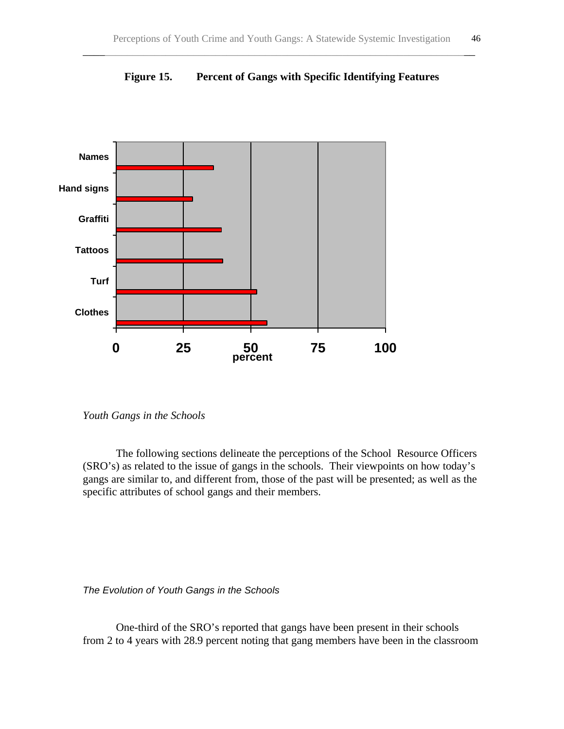



The following sections delineate the perceptions of the School Resource Officers (SRO's) as related to the issue of gangs in the schools. Their viewpoints on how today's gangs are similar to, and different from, those of the past will be presented; as well as the specific attributes of school gangs and their members.

### *The Evolution of Youth Gangs in the Schools*

One-third of the SRO's reported that gangs have been present in their schools from 2 to 4 years with 28.9 percent noting that gang members have been in the classroom

*Youth Gangs in the Schools*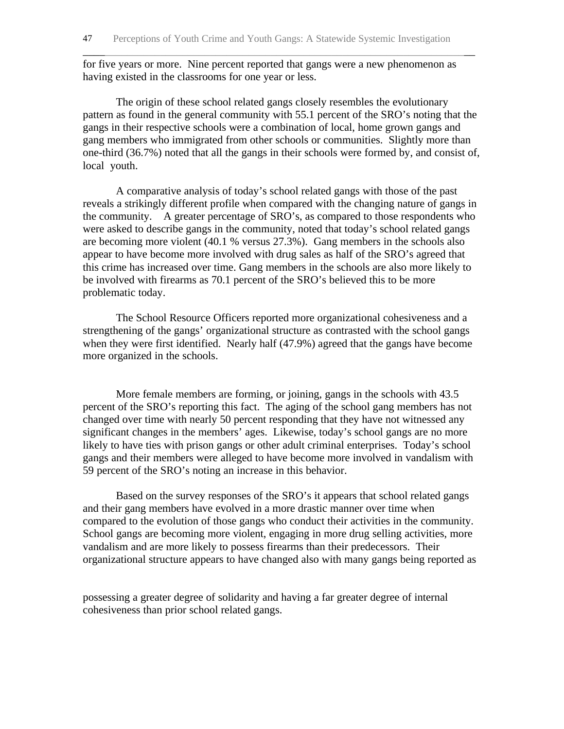for five years or more. Nine percent reported that gangs were a new phenomenon as having existed in the classrooms for one year or less.

\_\_\_\_\_\_\_\_\_\_\_\_\_\_\_\_\_\_\_\_\_\_\_\_\_\_\_\_\_\_\_\_\_\_\_\_\_\_\_\_\_\_\_\_\_\_\_\_\_\_\_\_\_\_\_\_\_\_\_\_\_\_\_\_\_\_\_\_\_\_\_

The origin of these school related gangs closely resembles the evolutionary pattern as found in the general community with 55.1 percent of the SRO's noting that the gangs in their respective schools were a combination of local, home grown gangs and gang members who immigrated from other schools or communities. Slightly more than one-third (36.7%) noted that all the gangs in their schools were formed by, and consist of, local youth.

A comparative analysis of today's school related gangs with those of the past reveals a strikingly different profile when compared with the changing nature of gangs in the community. A greater percentage of SRO's, as compared to those respondents who were asked to describe gangs in the community, noted that today's school related gangs are becoming more violent (40.1 % versus 27.3%). Gang members in the schools also appear to have become more involved with drug sales as half of the SRO's agreed that this crime has increased over time. Gang members in the schools are also more likely to be involved with firearms as 70.1 percent of the SRO's believed this to be more problematic today.

The School Resource Officers reported more organizational cohesiveness and a strengthening of the gangs' organizational structure as contrasted with the school gangs when they were first identified. Nearly half (47.9%) agreed that the gangs have become more organized in the schools.

More female members are forming, or joining, gangs in the schools with 43.5 percent of the SRO's reporting this fact. The aging of the school gang members has not changed over time with nearly 50 percent responding that they have not witnessed any significant changes in the members' ages. Likewise, today's school gangs are no more likely to have ties with prison gangs or other adult criminal enterprises. Today's school gangs and their members were alleged to have become more involved in vandalism with 59 percent of the SRO's noting an increase in this behavior.

Based on the survey responses of the SRO's it appears that school related gangs and their gang members have evolved in a more drastic manner over time when compared to the evolution of those gangs who conduct their activities in the community. School gangs are becoming more violent, engaging in more drug selling activities, more vandalism and are more likely to possess firearms than their predecessors. Their organizational structure appears to have changed also with many gangs being reported as

possessing a greater degree of solidarity and having a far greater degree of internal cohesiveness than prior school related gangs.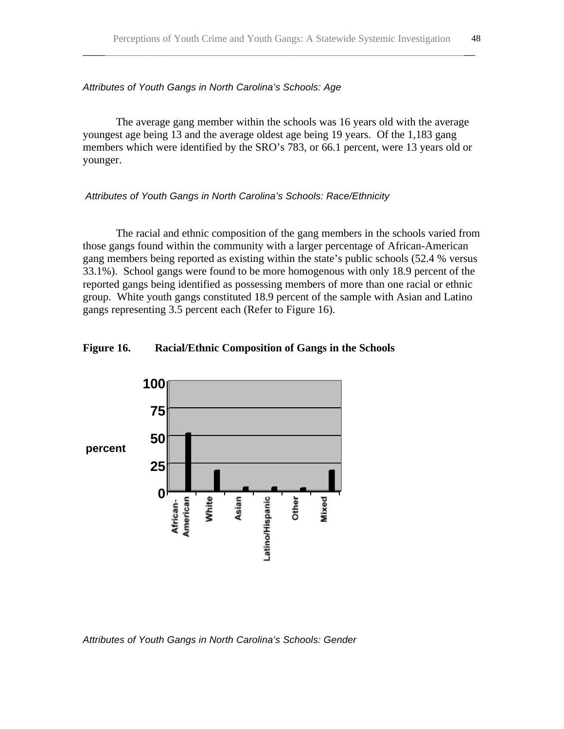#### *Attributes of Youth Gangs in North Carolina's Schools: Age*

The average gang member within the schools was 16 years old with the average youngest age being 13 and the average oldest age being 19 years. Of the 1,183 gang members which were identified by the SRO's 783, or 66.1 percent, were 13 years old or younger.

\_\_\_\_\_\_\_\_\_\_\_\_\_\_\_\_\_\_\_\_\_\_\_\_\_\_\_\_\_\_\_\_\_\_\_\_\_\_\_\_\_\_\_\_\_\_\_\_\_\_\_\_\_\_\_\_\_\_\_\_\_\_\_\_\_\_\_\_\_\_\_

#### *Attributes of Youth Gangs in North Carolina's Schools: Race/Ethnicity*

The racial and ethnic composition of the gang members in the schools varied from those gangs found within the community with a larger percentage of African-American gang members being reported as existing within the state's public schools (52.4 % versus 33.1%). School gangs were found to be more homogenous with only 18.9 percent of the reported gangs being identified as possessing members of more than one racial or ethnic group. White youth gangs constituted 18.9 percent of the sample with Asian and Latino gangs representing 3.5 percent each (Refer to Figure 16).

#### **Figure 16. Racial/Ethnic Composition of Gangs in the Schools**



*Attributes of Youth Gangs in North Carolina's Schools: Gender*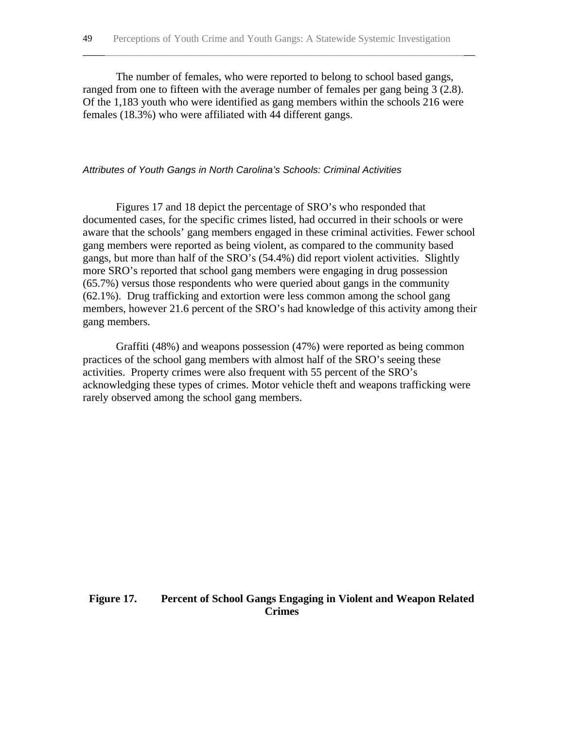The number of females, who were reported to belong to school based gangs, ranged from one to fifteen with the average number of females per gang being 3 (2.8). Of the 1,183 youth who were identified as gang members within the schools 216 were females (18.3%) who were affiliated with 44 different gangs.

\_\_\_\_\_\_\_\_\_\_\_\_\_\_\_\_\_\_\_\_\_\_\_\_\_\_\_\_\_\_\_\_\_\_\_\_\_\_\_\_\_\_\_\_\_\_\_\_\_\_\_\_\_\_\_\_\_\_\_\_\_\_\_\_\_\_\_\_\_\_\_

#### *Attributes of Youth Gangs in North Carolina's Schools: Criminal Activities*

Figures 17 and 18 depict the percentage of SRO's who responded that documented cases, for the specific crimes listed, had occurred in their schools or were aware that the schools' gang members engaged in these criminal activities. Fewer school gang members were reported as being violent, as compared to the community based gangs, but more than half of the SRO's (54.4%) did report violent activities. Slightly more SRO's reported that school gang members were engaging in drug possession (65.7%) versus those respondents who were queried about gangs in the community (62.1%). Drug trafficking and extortion were less common among the school gang members, however 21.6 percent of the SRO's had knowledge of this activity among their gang members.

Graffiti (48%) and weapons possession (47%) were reported as being common practices of the school gang members with almost half of the SRO's seeing these activities. Property crimes were also frequent with 55 percent of the SRO's acknowledging these types of crimes. Motor vehicle theft and weapons trafficking were rarely observed among the school gang members.

### **Figure 17. Percent of School Gangs Engaging in Violent and Weapon Related Crimes**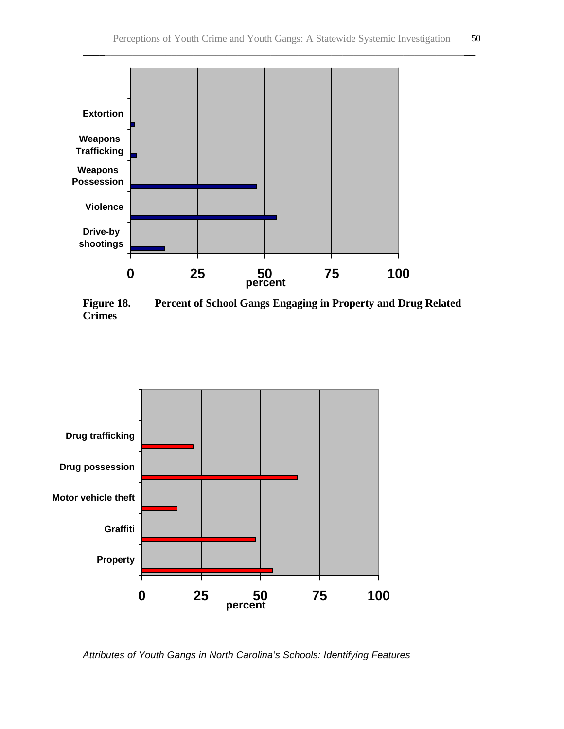

**Crimes**



*Attributes of Youth Gangs in North Carolina's Schools: Identifying Features*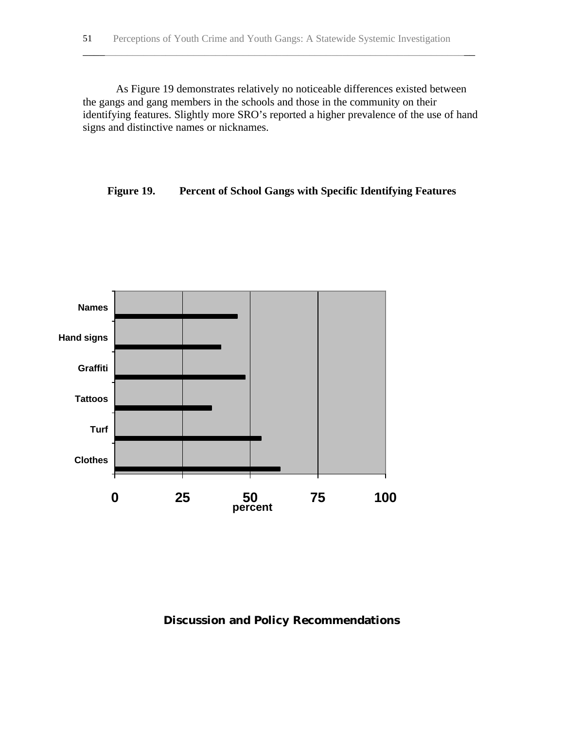As Figure 19 demonstrates relatively no noticeable differences existed between the gangs and gang members in the schools and those in the community on their identifying features. Slightly more SRO's reported a higher prevalence of the use of hand signs and distinctive names or nicknames.

\_\_\_\_\_\_\_\_\_\_\_\_\_\_\_\_\_\_\_\_\_\_\_\_\_\_\_\_\_\_\_\_\_\_\_\_\_\_\_\_\_\_\_\_\_\_\_\_\_\_\_\_\_\_\_\_\_\_\_\_\_\_\_\_\_\_\_\_\_\_\_

### **Figure 19. Percent of School Gangs with Specific Identifying Features**



## **Discussion and Policy Recommendations**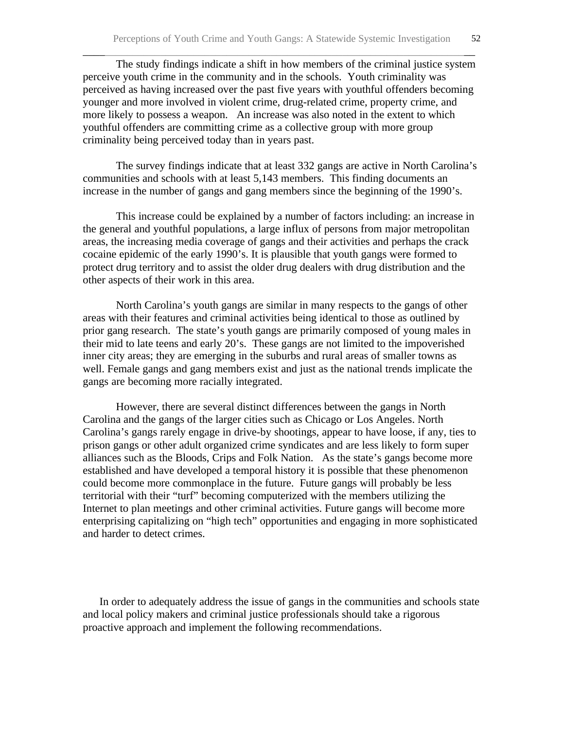The study findings indicate a shift in how members of the criminal justice system perceive youth crime in the community and in the schools. Youth criminality was perceived as having increased over the past five years with youthful offenders becoming younger and more involved in violent crime, drug-related crime, property crime, and more likely to possess a weapon. An increase was also noted in the extent to which youthful offenders are committing crime as a collective group with more group criminality being perceived today than in years past.

\_\_\_\_\_\_\_\_\_\_\_\_\_\_\_\_\_\_\_\_\_\_\_\_\_\_\_\_\_\_\_\_\_\_\_\_\_\_\_\_\_\_\_\_\_\_\_\_\_\_\_\_\_\_\_\_\_\_\_\_\_\_\_\_\_\_\_\_\_\_\_

The survey findings indicate that at least 332 gangs are active in North Carolina's communities and schools with at least 5,143 members. This finding documents an increase in the number of gangs and gang members since the beginning of the 1990's.

This increase could be explained by a number of factors including: an increase in the general and youthful populations, a large influx of persons from major metropolitan areas, the increasing media coverage of gangs and their activities and perhaps the crack cocaine epidemic of the early 1990's. It is plausible that youth gangs were formed to protect drug territory and to assist the older drug dealers with drug distribution and the other aspects of their work in this area.

North Carolina's youth gangs are similar in many respects to the gangs of other areas with their features and criminal activities being identical to those as outlined by prior gang research. The state's youth gangs are primarily composed of young males in their mid to late teens and early 20's. These gangs are not limited to the impoverished inner city areas; they are emerging in the suburbs and rural areas of smaller towns as well. Female gangs and gang members exist and just as the national trends implicate the gangs are becoming more racially integrated.

However, there are several distinct differences between the gangs in North Carolina and the gangs of the larger cities such as Chicago or Los Angeles. North Carolina's gangs rarely engage in drive-by shootings, appear to have loose, if any, ties to prison gangs or other adult organized crime syndicates and are less likely to form super alliances such as the Bloods, Crips and Folk Nation. As the state's gangs become more established and have developed a temporal history it is possible that these phenomenon could become more commonplace in the future. Future gangs will probably be less territorial with their "turf" becoming computerized with the members utilizing the Internet to plan meetings and other criminal activities. Future gangs will become more enterprising capitalizing on "high tech" opportunities and engaging in more sophisticated and harder to detect crimes.

In order to adequately address the issue of gangs in the communities and schools state and local policy makers and criminal justice professionals should take a rigorous proactive approach and implement the following recommendations.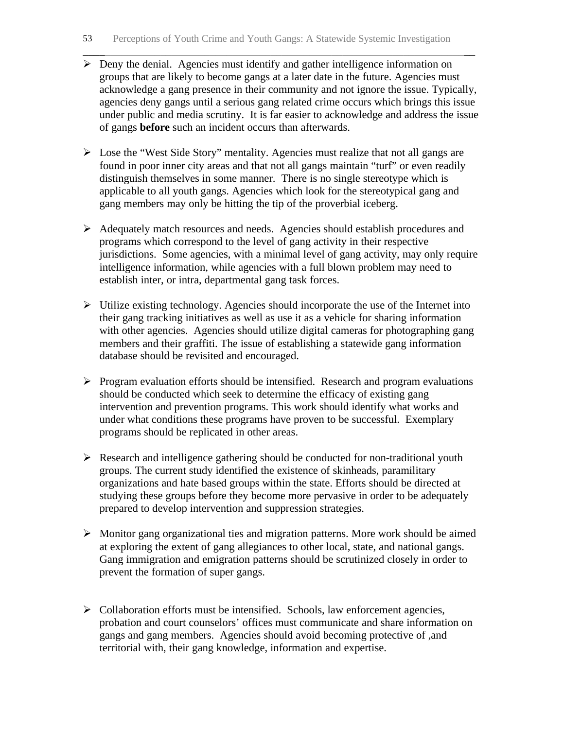$\triangleright$  Deny the denial. Agencies must identify and gather intelligence information on groups that are likely to become gangs at a later date in the future. Agencies must acknowledge a gang presence in their community and not ignore the issue. Typically, agencies deny gangs until a serious gang related crime occurs which brings this issue under public and media scrutiny. It is far easier to acknowledge and address the issue of gangs **before** such an incident occurs than afterwards.

- $\triangleright$  Lose the "West Side Story" mentality. Agencies must realize that not all gangs are found in poor inner city areas and that not all gangs maintain "turf" or even readily distinguish themselves in some manner. There is no single stereotype which is applicable to all youth gangs. Agencies which look for the stereotypical gang and gang members may only be hitting the tip of the proverbial iceberg.
- ÿ Adequately match resources and needs. Agencies should establish procedures and programs which correspond to the level of gang activity in their respective jurisdictions. Some agencies, with a minimal level of gang activity, may only require intelligence information, while agencies with a full blown problem may need to establish inter, or intra, departmental gang task forces.
- $\triangleright$  Utilize existing technology. Agencies should incorporate the use of the Internet into their gang tracking initiatives as well as use it as a vehicle for sharing information with other agencies. Agencies should utilize digital cameras for photographing gang members and their graffiti. The issue of establishing a statewide gang information database should be revisited and encouraged.
- $\triangleright$  Program evaluation efforts should be intensified. Research and program evaluations should be conducted which seek to determine the efficacy of existing gang intervention and prevention programs. This work should identify what works and under what conditions these programs have proven to be successful. Exemplary programs should be replicated in other areas.
- $\triangleright$  Research and intelligence gathering should be conducted for non-traditional youth groups. The current study identified the existence of skinheads, paramilitary organizations and hate based groups within the state. Efforts should be directed at studying these groups before they become more pervasive in order to be adequately prepared to develop intervention and suppression strategies.
- $\triangleright$  Monitor gang organizational ties and migration patterns. More work should be aimed at exploring the extent of gang allegiances to other local, state, and national gangs. Gang immigration and emigration patterns should be scrutinized closely in order to prevent the formation of super gangs.
- $\triangleright$  Collaboration efforts must be intensified. Schools, law enforcement agencies, probation and court counselors' offices must communicate and share information on gangs and gang members. Agencies should avoid becoming protective of ,and territorial with, their gang knowledge, information and expertise.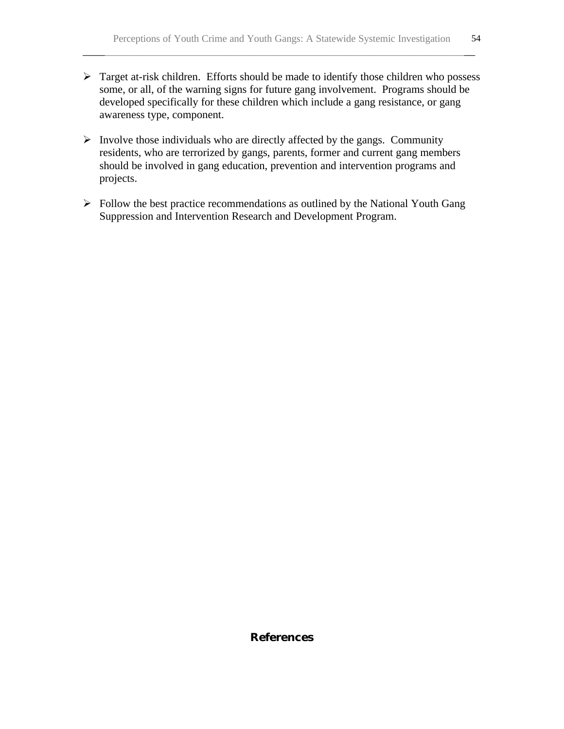$\triangleright$  Target at-risk children. Efforts should be made to identify those children who possess some, or all, of the warning signs for future gang involvement. Programs should be developed specifically for these children which include a gang resistance, or gang awareness type, component.

\_\_\_\_\_\_\_\_\_\_\_\_\_\_\_\_\_\_\_\_\_\_\_\_\_\_\_\_\_\_\_\_\_\_\_\_\_\_\_\_\_\_\_\_\_\_\_\_\_\_\_\_\_\_\_\_\_\_\_\_\_\_\_\_\_\_\_\_\_\_\_

- $\triangleright$  Involve those individuals who are directly affected by the gangs. Community residents, who are terrorized by gangs, parents, former and current gang members should be involved in gang education, prevention and intervention programs and projects.
- $\triangleright$  Follow the best practice recommendations as outlined by the National Youth Gang Suppression and Intervention Research and Development Program.

## **References**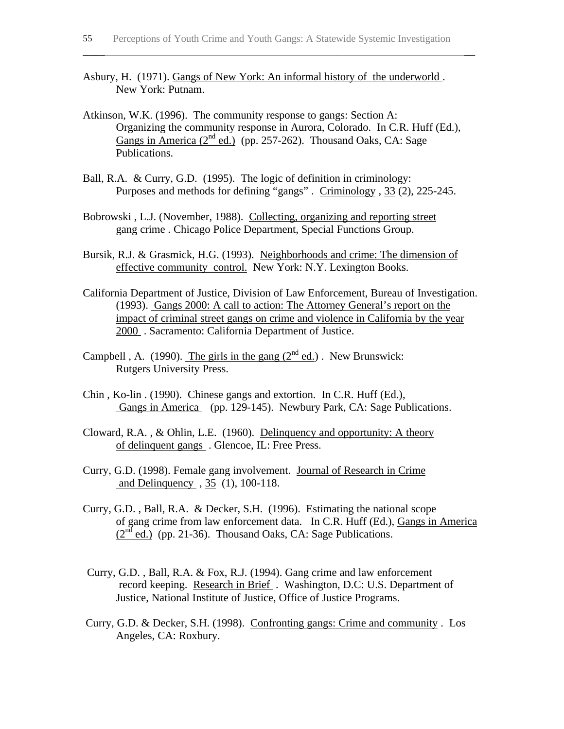- Asbury, H. (1971). Gangs of New York: An informal history of the underworld . New York: Putnam.
- Atkinson, W.K. (1996). The community response to gangs: Section A: Organizing the community response in Aurora, Colorado. In C.R. Huff (Ed.), Gangs in America  $(2^{nd}$  ed.) (pp. 257-262). Thousand Oaks, CA: Sage Publications.
- Ball, R.A. & Curry, G.D. (1995). The logic of definition in criminology: Purposes and methods for defining "gangs". Criminology, 33 (2), 225-245.
- Bobrowski , L.J. (November, 1988). Collecting, organizing and reporting street gang crime . Chicago Police Department, Special Functions Group.
- Bursik, R.J. & Grasmick, H.G. (1993). Neighborhoods and crime: The dimension of effective community control. New York: N.Y. Lexington Books.
- California Department of Justice, Division of Law Enforcement, Bureau of Investigation. (1993). Gangs 2000: A call to action: The Attorney General's report on the impact of criminal street gangs on crime and violence in California by the year 2000 . Sacramento: California Department of Justice.
- Campbell , A. (1990). The girls in the gang  $(2<sup>nd</sup>$  ed.). New Brunswick: Rutgers University Press.
- Chin , Ko-lin . (1990). Chinese gangs and extortion. In C.R. Huff (Ed.), Gangs in America (pp. 129-145). Newbury Park, CA: Sage Publications.
- Cloward, R.A. , & Ohlin, L.E. (1960). Delinquency and opportunity: A theory of delinquent gangs . Glencoe, IL: Free Press.
- Curry, G.D. (1998). Female gang involvement. Journal of Research in Crime and Delinquency , 35 (1), 100-118.
- Curry, G.D. , Ball, R.A. & Decker, S.H. (1996). Estimating the national scope of gang crime from law enforcement data. In C.R. Huff (Ed.), Gangs in America  $(2^{nd}$  ed.) (pp. 21-36). Thousand Oaks, CA: Sage Publications.
- Curry, G.D. , Ball, R.A. & Fox, R.J. (1994). Gang crime and law enforcement record keeping. Research in Brief . Washington, D.C: U.S. Department of Justice, National Institute of Justice, Office of Justice Programs.
- Curry, G.D. & Decker, S.H. (1998). Confronting gangs: Crime and community . Los Angeles, CA: Roxbury.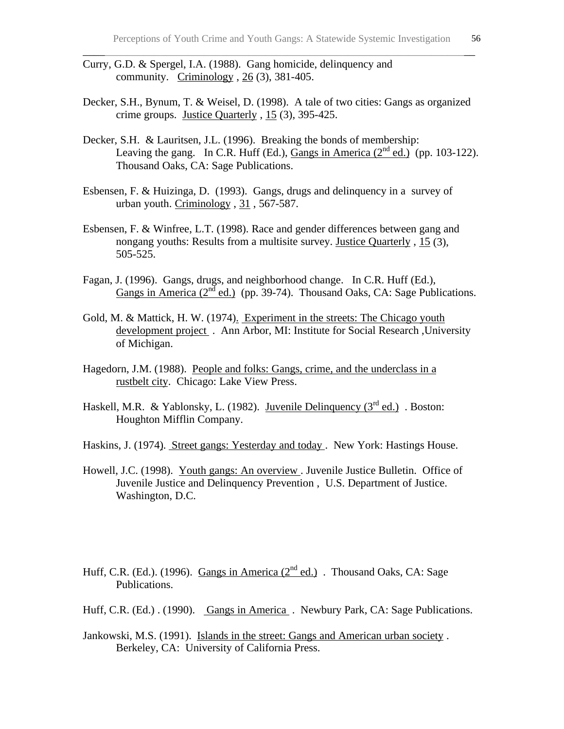- Curry, G.D. & Spergel, I.A. (1988). Gang homicide, delinquency and community. Criminology , 26 (3), 381-405.
- Decker, S.H., Bynum, T. & Weisel, D. (1998). A tale of two cities: Gangs as organized crime groups. Justice Quarterly , 15 (3), 395-425.

- Decker, S.H. & Lauritsen, J.L. (1996). Breaking the bonds of membership: Leaving the gang. In C.R. Huff (Ed.), Gangs in America  $(2^{nd}$  ed.) (pp. 103-122). Thousand Oaks, CA: Sage Publications.
- Esbensen, F. & Huizinga, D. (1993). Gangs, drugs and delinquency in a survey of urban youth. Criminology , 31 , 567-587.
- Esbensen, F. & Winfree, L.T. (1998). Race and gender differences between gang and nongang youths: Results from a multisite survey. Justice Quarterly , 15 (3), 505-525.
- Fagan, J. (1996). Gangs, drugs, and neighborhood change. In C.R. Huff (Ed.), Gangs in America  $(2^{nd}$  ed.) (pp. 39-74). Thousand Oaks, CA: Sage Publications.
- Gold, M. & Mattick, H. W. (1974). Experiment in the streets: The Chicago youth development project . Ann Arbor, MI: Institute for Social Research ,University of Michigan.
- Hagedorn, J.M. (1988). People and folks: Gangs, crime, and the underclass in a rustbelt city. Chicago: Lake View Press.
- Haskell, M.R. & Yablonsky, L. (1982). Juvenile Delinquency (3<sup>rd</sup> ed.) . Boston: Houghton Mifflin Company.
- Haskins, J. (1974). Street gangs: Yesterday and today . New York: Hastings House.
- Howell, J.C. (1998). Youth gangs: An overview . Juvenile Justice Bulletin. Office of Juvenile Justice and Delinquency Prevention , U.S. Department of Justice. Washington, D.C.
- Huff, C.R. (Ed.). (1996). Gangs in America  $(2^{nd}$  ed.) . Thousand Oaks, CA: Sage Publications.
- Huff, C.R. (Ed.). (1990). Gangs in America. Newbury Park, CA: Sage Publications.
- Jankowski, M.S. (1991). Islands in the street: Gangs and American urban society . Berkeley, CA: University of California Press.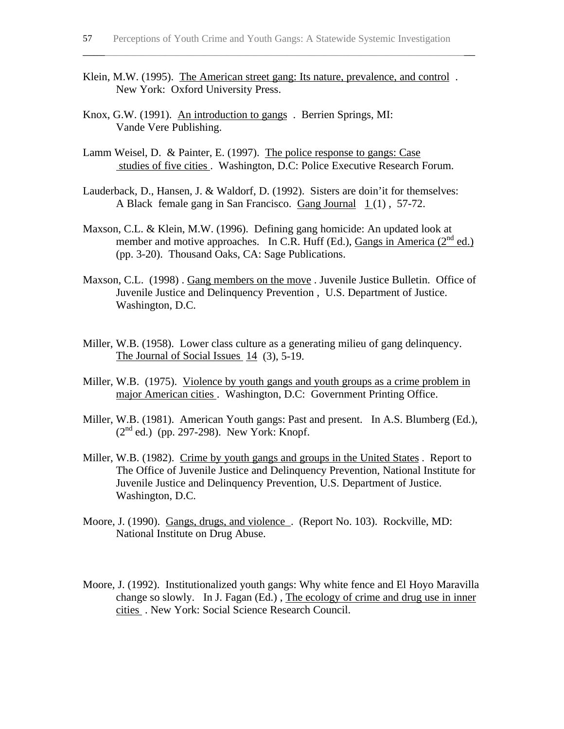- Klein, M.W. (1995). The American street gang: Its nature, prevalence, and control . New York: Oxford University Press.
- Knox, G.W. (1991). An introduction to gangs . Berrien Springs, MI: Vande Vere Publishing.
- Lamm Weisel, D. & Painter, E. (1997). The police response to gangs: Case studies of five cities . Washington, D.C: Police Executive Research Forum.
- Lauderback, D., Hansen, J. & Waldorf, D. (1992). Sisters are doin'it for themselves: A Black female gang in San Francisco. Gang Journal 1 (1) , 57-72.
- Maxson, C.L. & Klein, M.W. (1996). Defining gang homicide: An updated look at member and motive approaches. In C.R. Huff (Ed.), Gangs in America  $(2^{nd}$  ed.) (pp. 3-20). Thousand Oaks, CA: Sage Publications.
- Maxson, C.L. (1998) . Gang members on the move . Juvenile Justice Bulletin. Office of Juvenile Justice and Delinquency Prevention , U.S. Department of Justice. Washington, D.C.
- Miller, W.B. (1958). Lower class culture as a generating milieu of gang delinquency. The Journal of Social Issues 14 (3), 5-19.
- Miller, W.B. (1975). Violence by youth gangs and youth groups as a crime problem in major American cities . Washington, D.C: Government Printing Office.
- Miller, W.B. (1981). American Youth gangs: Past and present. In A.S. Blumberg (Ed.),  $(2<sup>nd</sup>$  ed.) (pp. 297-298). New York: Knopf.
- Miller, W.B. (1982). Crime by youth gangs and groups in the United States. Report to The Office of Juvenile Justice and Delinquency Prevention, National Institute for Juvenile Justice and Delinquency Prevention, U.S. Department of Justice. Washington, D.C.
- Moore, J. (1990). Gangs, drugs, and violence . (Report No. 103). Rockville, MD: National Institute on Drug Abuse.
- Moore, J. (1992). Institutionalized youth gangs: Why white fence and El Hoyo Maravilla change so slowly. In J. Fagan (Ed.) , The ecology of crime and drug use in inner cities . New York: Social Science Research Council.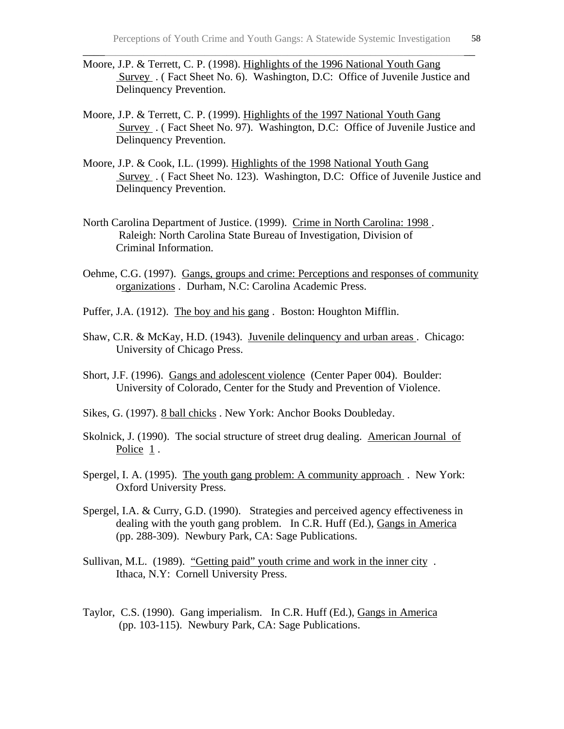Moore, J.P. & Terrett, C. P. (1998). Highlights of the 1996 National Youth Gang Survey . ( Fact Sheet No. 6). Washington, D.C: Office of Juvenile Justice and Delinquency Prevention.

- Moore, J.P. & Terrett, C. P. (1999). Highlights of the 1997 National Youth Gang Survey . ( Fact Sheet No. 97). Washington, D.C: Office of Juvenile Justice and Delinquency Prevention.
- Moore, J.P. & Cook, I.L. (1999). Highlights of the 1998 National Youth Gang Survey . ( Fact Sheet No. 123). Washington, D.C: Office of Juvenile Justice and Delinquency Prevention.
- North Carolina Department of Justice. (1999). Crime in North Carolina: 1998 . Raleigh: North Carolina State Bureau of Investigation, Division of Criminal Information.
- Oehme, C.G. (1997). Gangs, groups and crime: Perceptions and responses of community organizations . Durham, N.C: Carolina Academic Press.
- Puffer, J.A. (1912). The boy and his gang . Boston: Houghton Mifflin.
- Shaw, C.R. & McKay, H.D. (1943). Juvenile delinquency and urban areas . Chicago: University of Chicago Press.
- Short, J.F. (1996). Gangs and adolescent violence (Center Paper 004). Boulder: University of Colorado, Center for the Study and Prevention of Violence.
- Sikes, G. (1997). 8 ball chicks . New York: Anchor Books Doubleday.
- Skolnick, J. (1990). The social structure of street drug dealing. American Journal of Police  $1$ .
- Spergel, I. A. (1995). The youth gang problem: A community approach. New York: Oxford University Press.
- Spergel, I.A. & Curry, G.D. (1990). Strategies and perceived agency effectiveness in dealing with the youth gang problem. In C.R. Huff (Ed.), Gangs in America (pp. 288-309). Newbury Park, CA: Sage Publications.
- Sullivan, M.L. (1989). "Getting paid" youth crime and work in the inner city. Ithaca, N.Y: Cornell University Press.
- Taylor, C.S. (1990). Gang imperialism. In C.R. Huff (Ed.), Gangs in America (pp. 103-115). Newbury Park, CA: Sage Publications.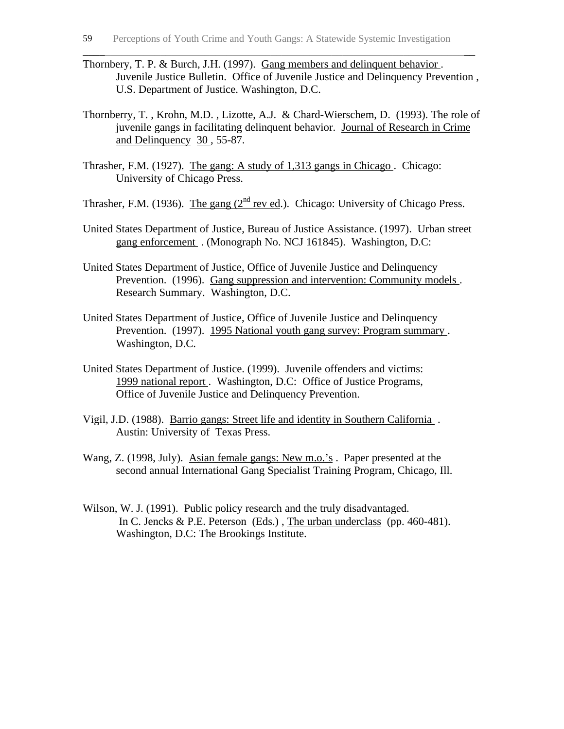Thornbery, T. P. & Burch, J.H. (1997). Gang members and delinquent behavior. Juvenile Justice Bulletin. Office of Juvenile Justice and Delinquency Prevention , U.S. Department of Justice. Washington, D.C.

- Thornberry, T. , Krohn, M.D. , Lizotte, A.J. & Chard-Wierschem, D. (1993). The role of juvenile gangs in facilitating delinquent behavior. Journal of Research in Crime and Delinquency 30 , 55-87.
- Thrasher, F.M. (1927). The gang: A study of 1,313 gangs in Chicago. Chicago: University of Chicago Press.
- Thrasher, F.M. (1936). The gang  $(2^{nd}$  rev ed.). Chicago: University of Chicago Press.
- United States Department of Justice, Bureau of Justice Assistance. (1997). Urban street gang enforcement . (Monograph No. NCJ 161845). Washington, D.C:
- United States Department of Justice, Office of Juvenile Justice and Delinquency Prevention. (1996). Gang suppression and intervention: Community models . Research Summary. Washington, D.C.
- United States Department of Justice, Office of Juvenile Justice and Delinquency Prevention. (1997). 1995 National youth gang survey: Program summary . Washington, D.C.
- United States Department of Justice. (1999). Juvenile offenders and victims: 1999 national report . Washington, D.C: Office of Justice Programs, Office of Juvenile Justice and Delinquency Prevention.
- Vigil, J.D. (1988). Barrio gangs: Street life and identity in Southern California . Austin: University of Texas Press.
- Wang, Z. (1998, July). Asian female gangs: New m.o.'s . Paper presented at the second annual International Gang Specialist Training Program, Chicago, Ill.
- Wilson, W. J. (1991). Public policy research and the truly disadvantaged. In C. Jencks & P.E. Peterson (Eds.), The urban underclass (pp. 460-481). Washington, D.C: The Brookings Institute.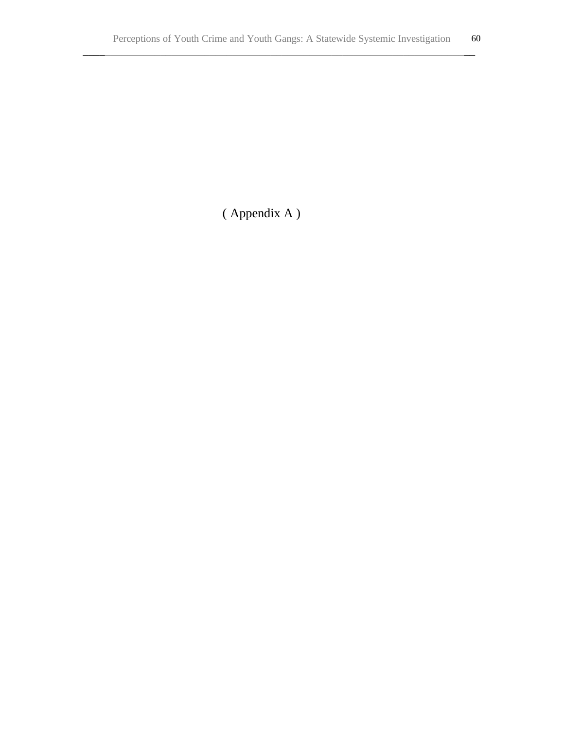( Appendix A )